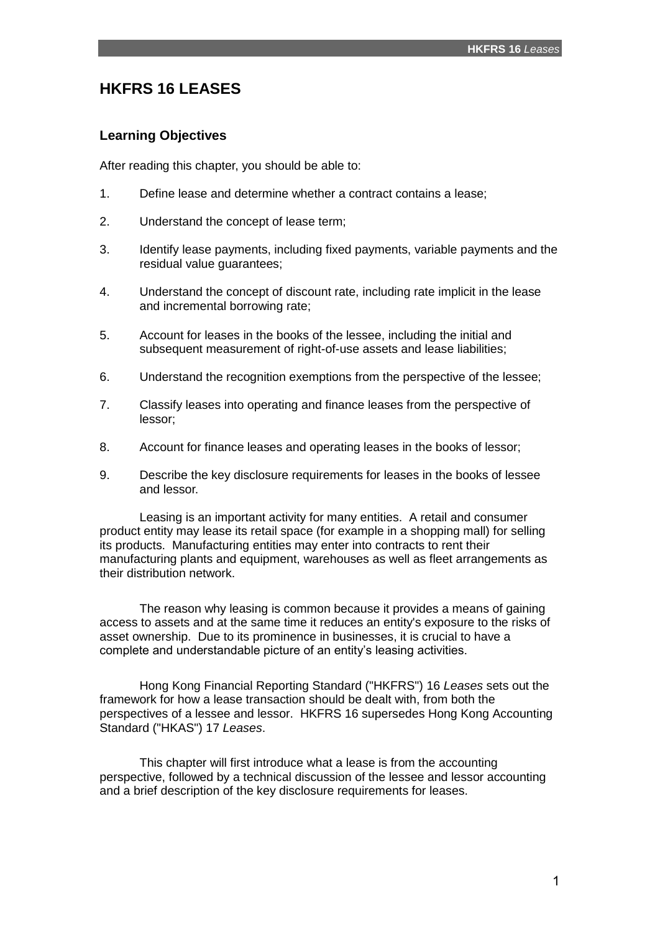# **HKFRS 16 LEASES**

# **Learning Objectives**

After reading this chapter, you should be able to:

- 1. Define lease and determine whether a contract contains a lease;
- 2. Understand the concept of lease term;
- 3. Identify lease payments, including fixed payments, variable payments and the residual value guarantees;
- 4. Understand the concept of discount rate, including rate implicit in the lease and incremental borrowing rate;
- 5. Account for leases in the books of the lessee, including the initial and subsequent measurement of right-of-use assets and lease liabilities;
- 6. Understand the recognition exemptions from the perspective of the lessee;
- 7. Classify leases into operating and finance leases from the perspective of lessor;
- 8. Account for finance leases and operating leases in the books of lessor;
- 9. Describe the key disclosure requirements for leases in the books of lessee and lessor.

Leasing is an important activity for many entities. A retail and consumer product entity may lease its retail space (for example in a shopping mall) for selling its products. Manufacturing entities may enter into contracts to rent their manufacturing plants and equipment, warehouses as well as fleet arrangements as their distribution network.

The reason why leasing is common because it provides a means of gaining access to assets and at the same time it reduces an entity's exposure to the risks of asset ownership. Due to its prominence in businesses, it is crucial to have a complete and understandable picture of an entity's leasing activities.

Hong Kong Financial Reporting Standard ("HKFRS") 16 *Leases* sets out the framework for how a lease transaction should be dealt with, from both the perspectives of a lessee and lessor. HKFRS 16 supersedes Hong Kong Accounting Standard ("HKAS") 17 *Leases*.

This chapter will first introduce what a lease is from the accounting perspective, followed by a technical discussion of the lessee and lessor accounting and a brief description of the key disclosure requirements for leases.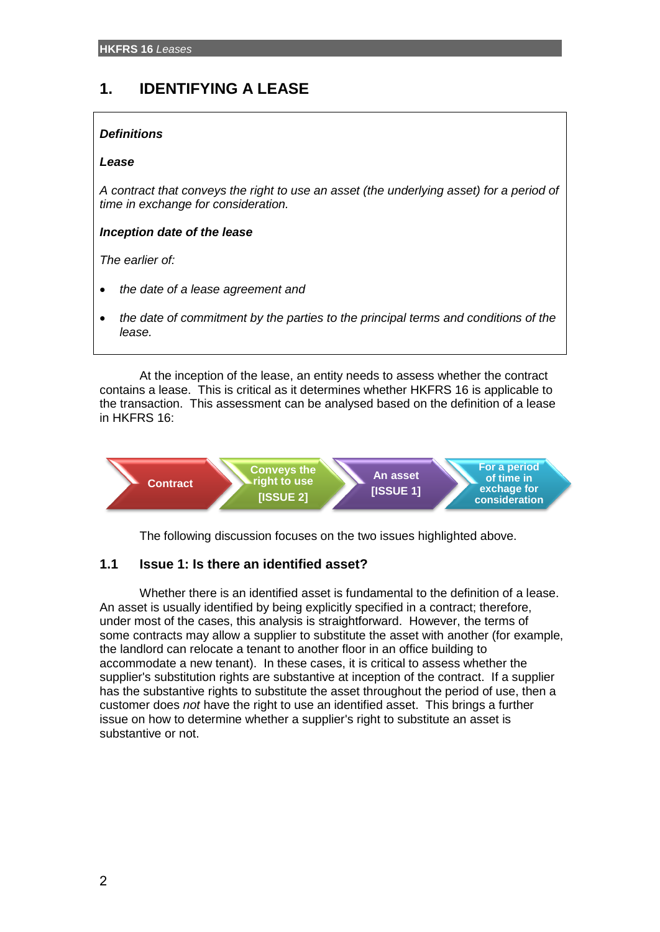# **1. IDENTIFYING A LEASE**

# *Definitions*

### *Lease*

*A contract that conveys the right to use an asset (the underlying asset) for a period of time in exchange for consideration.*

# *Inception date of the lease*

*The earlier of:*

- *the date of a lease agreement and*
- *the date of commitment by the parties to the principal terms and conditions of the lease.*

At the inception of the lease, an entity needs to assess whether the contract contains a lease. This is critical as it determines whether HKFRS 16 is applicable to the transaction. This assessment can be analysed based on the definition of a lease in HKFRS 16:



The following discussion focuses on the two issues highlighted above.

# **1.1 Issue 1: Is there an identified asset?**

Whether there is an identified asset is fundamental to the definition of a lease. An asset is usually identified by being explicitly specified in a contract; therefore, under most of the cases, this analysis is straightforward. However, the terms of some contracts may allow a supplier to substitute the asset with another (for example, the landlord can relocate a tenant to another floor in an office building to accommodate a new tenant). In these cases, it is critical to assess whether the supplier's substitution rights are substantive at inception of the contract. If a supplier has the substantive rights to substitute the asset throughout the period of use, then a customer does *not* have the right to use an identified asset. This brings a further issue on how to determine whether a supplier's right to substitute an asset is substantive or not.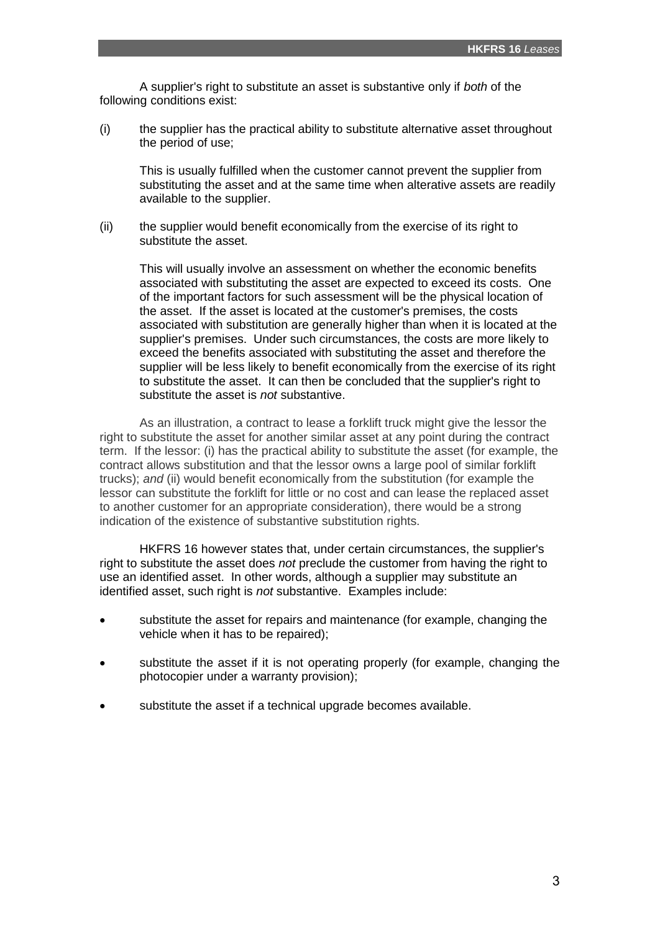A supplier's right to substitute an asset is substantive only if *both* of the following conditions exist:

(i) the supplier has the practical ability to substitute alternative asset throughout the period of use;

This is usually fulfilled when the customer cannot prevent the supplier from substituting the asset and at the same time when alterative assets are readily available to the supplier.

(ii) the supplier would benefit economically from the exercise of its right to substitute the asset.

This will usually involve an assessment on whether the economic benefits associated with substituting the asset are expected to exceed its costs. One of the important factors for such assessment will be the physical location of the asset. If the asset is located at the customer's premises, the costs associated with substitution are generally higher than when it is located at the supplier's premises. Under such circumstances, the costs are more likely to exceed the benefits associated with substituting the asset and therefore the supplier will be less likely to benefit economically from the exercise of its right to substitute the asset. It can then be concluded that the supplier's right to substitute the asset is *not* substantive.

As an illustration, a contract to lease a forklift truck might give the lessor the right to substitute the asset for another similar asset at any point during the contract term. If the lessor: (i) has the practical ability to substitute the asset (for example, the contract allows substitution and that the lessor owns a large pool of similar forklift trucks); *and* (ii) would benefit economically from the substitution (for example the lessor can substitute the forklift for little or no cost and can lease the replaced asset to another customer for an appropriate consideration), there would be a strong indication of the existence of substantive substitution rights.

HKFRS 16 however states that, under certain circumstances, the supplier's right to substitute the asset does *not* preclude the customer from having the right to use an identified asset. In other words, although a supplier may substitute an identified asset, such right is *not* substantive. Examples include:

- substitute the asset for repairs and maintenance (for example, changing the vehicle when it has to be repaired);
- substitute the asset if it is not operating properly (for example, changing the photocopier under a warranty provision);
- substitute the asset if a technical upgrade becomes available.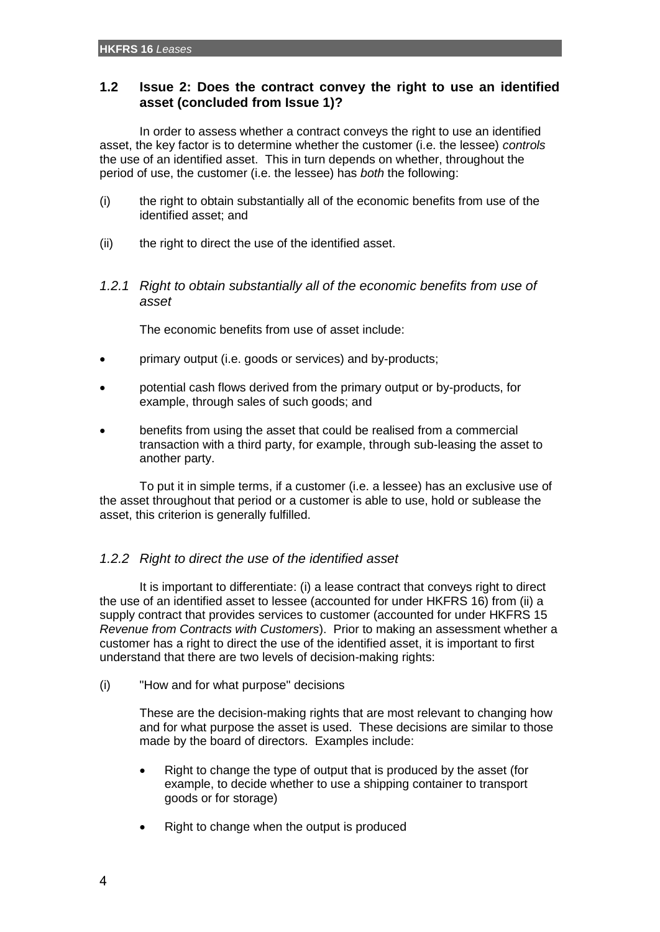# **1.2 Issue 2: Does the contract convey the right to use an identified asset (concluded from Issue 1)?**

In order to assess whether a contract conveys the right to use an identified asset, the key factor is to determine whether the customer (i.e. the lessee) *controls* the use of an identified asset. This in turn depends on whether, throughout the period of use, the customer (i.e. the lessee) has *both* the following:

- (i) the right to obtain substantially all of the economic benefits from use of the identified asset; and
- (ii) the right to direct the use of the identified asset.
- *1.2.1 Right to obtain substantially all of the economic benefits from use of asset*

The economic benefits from use of asset include:

- primary output (i.e. goods or services) and by-products;
- potential cash flows derived from the primary output or by-products, for example, through sales of such goods; and
- benefits from using the asset that could be realised from a commercial transaction with a third party, for example, through sub-leasing the asset to another party.

To put it in simple terms, if a customer (i.e. a lessee) has an exclusive use of the asset throughout that period or a customer is able to use, hold or sublease the asset, this criterion is generally fulfilled.

# *1.2.2 Right to direct the use of the identified asset*

It is important to differentiate: (i) a lease contract that conveys right to direct the use of an identified asset to lessee (accounted for under HKFRS 16) from (ii) a supply contract that provides services to customer (accounted for under HKFRS 15 *Revenue from Contracts with Customers*). Prior to making an assessment whether a customer has a right to direct the use of the identified asset, it is important to first understand that there are two levels of decision-making rights:

(i) "How and for what purpose" decisions

These are the decision-making rights that are most relevant to changing how and for what purpose the asset is used. These decisions are similar to those made by the board of directors. Examples include:

- Right to change the type of output that is produced by the asset (for example, to decide whether to use a shipping container to transport goods or for storage)
- Right to change when the output is produced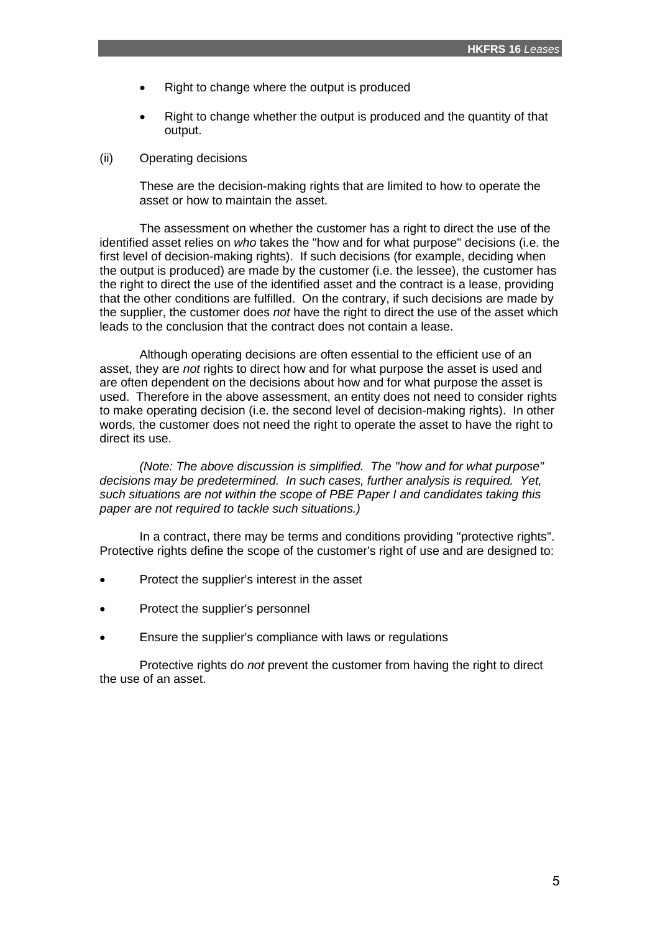- Right to change where the output is produced
- Right to change whether the output is produced and the quantity of that output.
- (ii) Operating decisions

These are the decision-making rights that are limited to how to operate the asset or how to maintain the asset.

The assessment on whether the customer has a right to direct the use of the identified asset relies on *who* takes the "how and for what purpose" decisions (i.e. the first level of decision-making rights). If such decisions (for example, deciding when the output is produced) are made by the customer (i.e. the lessee), the customer has the right to direct the use of the identified asset and the contract is a lease, providing that the other conditions are fulfilled. On the contrary, if such decisions are made by the supplier, the customer does *not* have the right to direct the use of the asset which leads to the conclusion that the contract does not contain a lease.

Although operating decisions are often essential to the efficient use of an asset, they are *not* rights to direct how and for what purpose the asset is used and are often dependent on the decisions about how and for what purpose the asset is used. Therefore in the above assessment, an entity does not need to consider rights to make operating decision (i.e. the second level of decision-making rights). In other words, the customer does not need the right to operate the asset to have the right to direct its use.

*(Note: The above discussion is simplified. The "how and for what purpose" decisions may be predetermined. In such cases, further analysis is required. Yet, such situations are not within the scope of PBE Paper I and candidates taking this paper are not required to tackle such situations.)*

In a contract, there may be terms and conditions providing "protective rights". Protective rights define the scope of the customer's right of use and are designed to:

- Protect the supplier's interest in the asset
- Protect the supplier's personnel
- Ensure the supplier's compliance with laws or regulations

Protective rights do *not* prevent the customer from having the right to direct the use of an asset.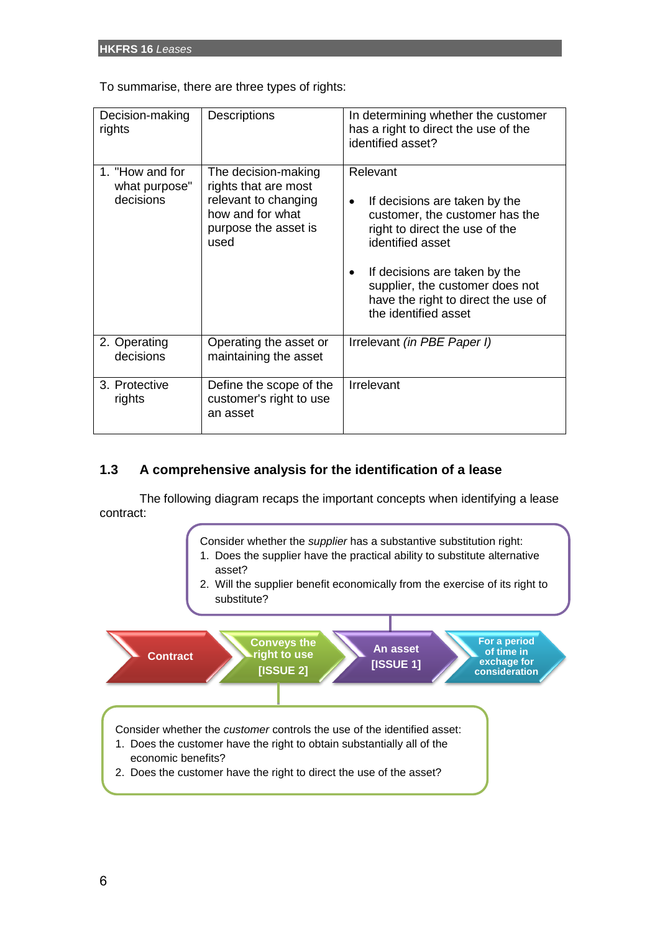To summarise, there are three types of rights:

| Decision-making<br>rights                     | <b>Descriptions</b>                                                                                                     | In determining whether the customer<br>has a right to direct the use of the<br>identified asset?                                                                                                                                                                                  |
|-----------------------------------------------|-------------------------------------------------------------------------------------------------------------------------|-----------------------------------------------------------------------------------------------------------------------------------------------------------------------------------------------------------------------------------------------------------------------------------|
| 1. "How and for<br>what purpose"<br>decisions | The decision-making<br>rights that are most<br>relevant to changing<br>how and for what<br>purpose the asset is<br>used | Relevant<br>If decisions are taken by the<br>$\bullet$<br>customer, the customer has the<br>right to direct the use of the<br>identified asset<br>If decisions are taken by the<br>supplier, the customer does not<br>have the right to direct the use of<br>the identified asset |
| 2. Operating<br>decisions                     | Operating the asset or<br>maintaining the asset                                                                         | Irrelevant (in PBE Paper I)                                                                                                                                                                                                                                                       |
| 3. Protective<br>rights                       | Define the scope of the<br>customer's right to use<br>an asset                                                          | Irrelevant                                                                                                                                                                                                                                                                        |

# **1.3 A comprehensive analysis for the identification of a lease**

The following diagram recaps the important concepts when identifying a lease contract:

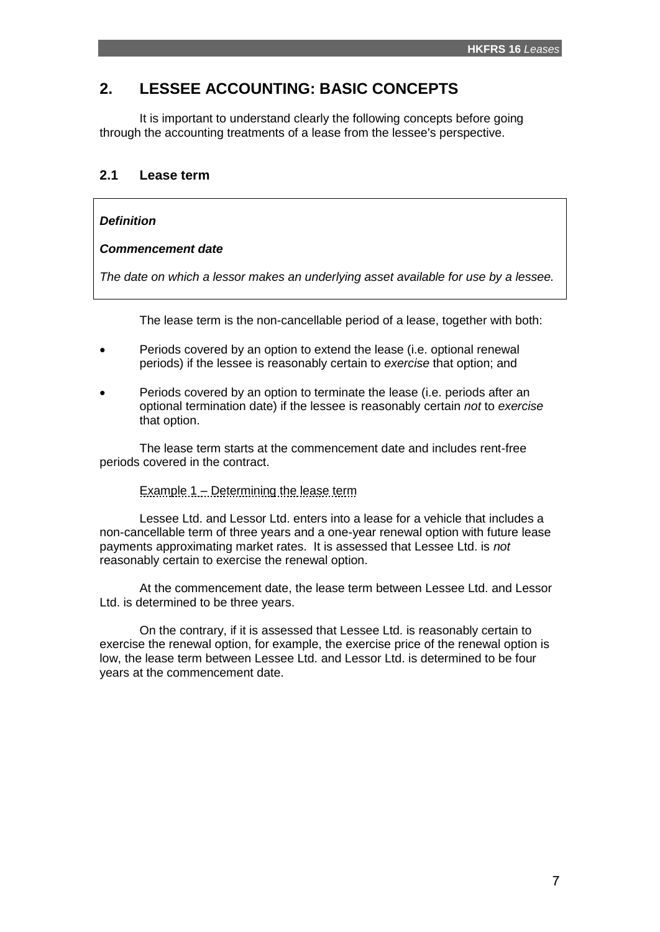# **2. LESSEE ACCOUNTING: BASIC CONCEPTS**

It is important to understand clearly the following concepts before going through the accounting treatments of a lease from the lessee's perspective.

# **2.1 Lease term**

### *Definition*

#### *Commencement date*

*The date on which a lessor makes an underlying asset available for use by a lessee.*

The lease term is the non-cancellable period of a lease, together with both:

- Periods covered by an option to extend the lease (i.e. optional renewal periods) if the lessee is reasonably certain to *exercise* that option; and
- Periods covered by an option to terminate the lease (i.e. periods after an optional termination date) if the lessee is reasonably certain *not* to *exercise* that option.

The lease term starts at the commencement date and includes rent-free periods covered in the contract.

# Example 1 – Determining the lease term

Lessee Ltd. and Lessor Ltd. enters into a lease for a vehicle that includes a non-cancellable term of three years and a one-year renewal option with future lease payments approximating market rates. It is assessed that Lessee Ltd. is *not* reasonably certain to exercise the renewal option.

At the commencement date, the lease term between Lessee Ltd. and Lessor Ltd. is determined to be three years.

On the contrary, if it is assessed that Lessee Ltd. is reasonably certain to exercise the renewal option, for example, the exercise price of the renewal option is low, the lease term between Lessee Ltd. and Lessor Ltd. is determined to be four years at the commencement date.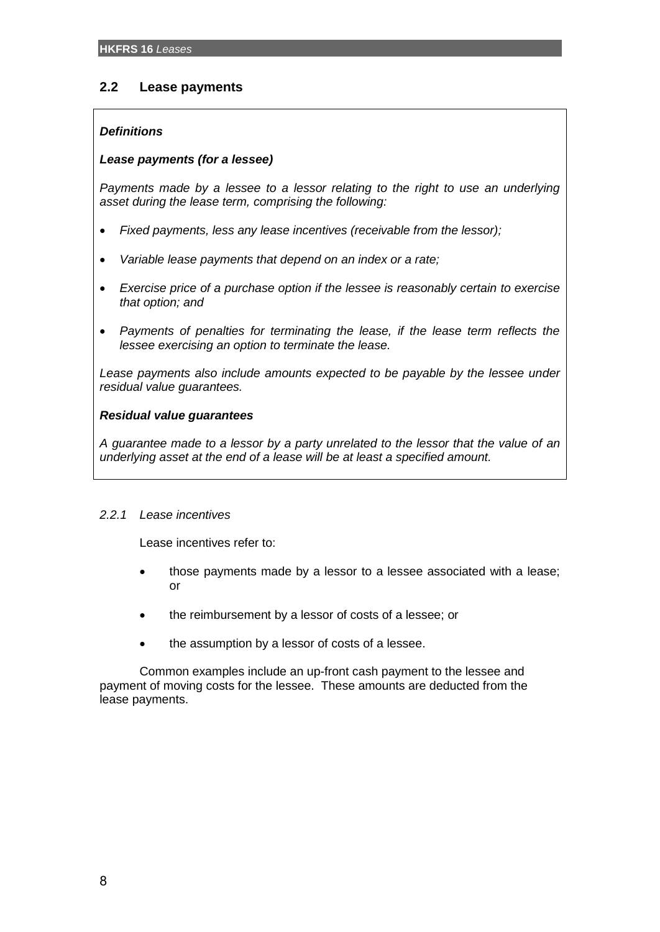# **2.2 Lease payments**

# *Definitions*

# *Lease payments (for a lessee)*

*Payments made by a lessee to a lessor relating to the right to use an underlying asset during the lease term, comprising the following:*

- *Fixed payments, less any lease incentives (receivable from the lessor);*
- *Variable lease payments that depend on an index or a rate;*
- *Exercise price of a purchase option if the lessee is reasonably certain to exercise that option; and*
- *Payments of penalties for terminating the lease, if the lease term reflects the lessee exercising an option to terminate the lease.*

Lease payments also include amounts expected to be payable by the lessee under *residual value guarantees.*

# *Residual value guarantees*

*A guarantee made to a lessor by a party unrelated to the lessor that the value of an underlying asset at the end of a lease will be at least a specified amount.*

# *2.2.1 Lease incentives*

Lease incentives refer to:

- those payments made by a lessor to a lessee associated with a lease; or
- the reimbursement by a lessor of costs of a lessee; or
- the assumption by a lessor of costs of a lessee.

Common examples include an up-front cash payment to the lessee and payment of moving costs for the lessee. These amounts are deducted from the lease payments.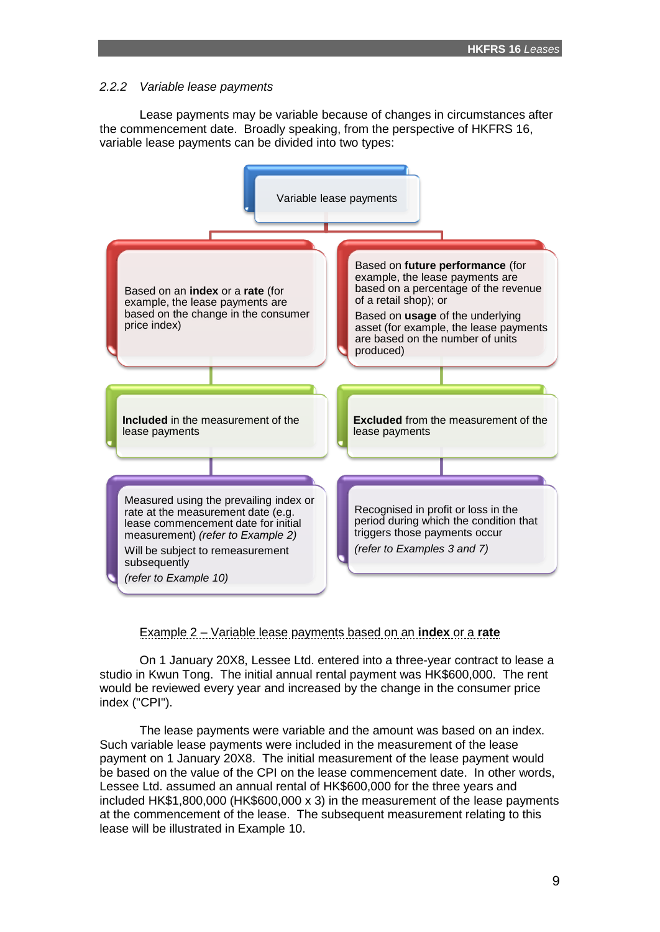#### *2.2.2 Variable lease payments*

Lease payments may be variable because of changes in circumstances after the commencement date. Broadly speaking, from the perspective of HKFRS 16, variable lease payments can be divided into two types:



# Example 2 – Variable lease payments based on an **index** or a **rate**

On 1 January 20X8, Lessee Ltd. entered into a three-year contract to lease a studio in Kwun Tong. The initial annual rental payment was HK\$600,000. The rent would be reviewed every year and increased by the change in the consumer price index ("CPI").

The lease payments were variable and the amount was based on an index. Such variable lease payments were included in the measurement of the lease payment on 1 January 20X8. The initial measurement of the lease payment would be based on the value of the CPI on the lease commencement date. In other words, Lessee Ltd. assumed an annual rental of HK\$600,000 for the three years and included HK\$1,800,000 (HK\$600,000 x 3) in the measurement of the lease payments at the commencement of the lease. The subsequent measurement relating to this lease will be illustrated in Example 10.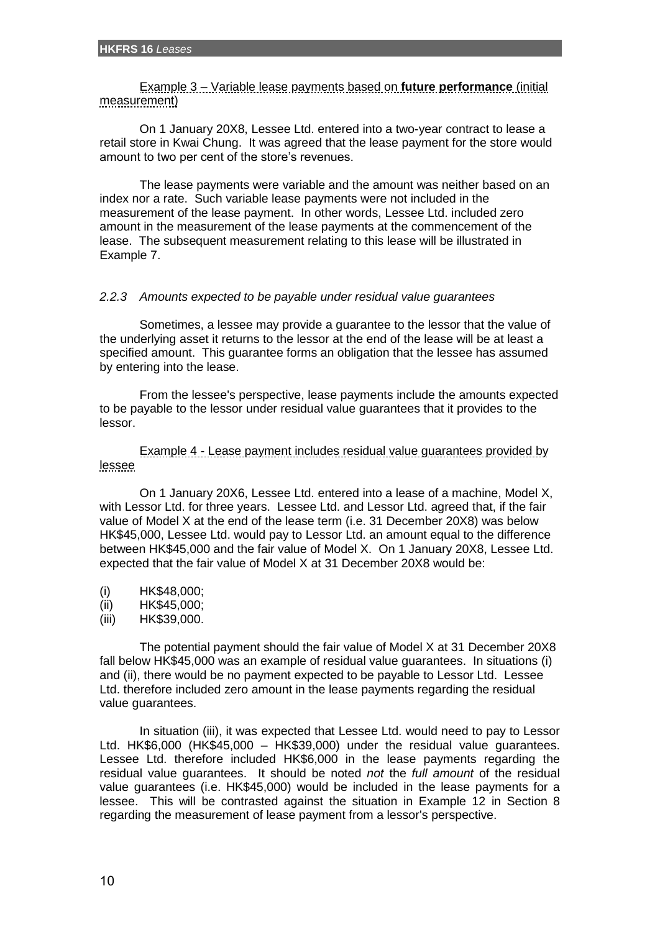Example 3 – Variable lease payments based on **future performance** (initial measurement)

On 1 January 20X8, Lessee Ltd. entered into a two-year contract to lease a retail store in Kwai Chung. It was agreed that the lease payment for the store would amount to two per cent of the store's revenues.

The lease payments were variable and the amount was neither based on an index nor a rate. Such variable lease payments were not included in the measurement of the lease payment. In other words, Lessee Ltd. included zero amount in the measurement of the lease payments at the commencement of the lease. The subsequent measurement relating to this lease will be illustrated in Example 7.

### *2.2.3 Amounts expected to be payable under residual value guarantees*

Sometimes, a lessee may provide a guarantee to the lessor that the value of the underlying asset it returns to the lessor at the end of the lease will be at least a specified amount. This guarantee forms an obligation that the lessee has assumed by entering into the lease.

From the lessee's perspective, lease payments include the amounts expected to be payable to the lessor under residual value guarantees that it provides to the lessor.

Example 4 - Lease payment includes residual value guarantees provided by lessee

On 1 January 20X6, Lessee Ltd. entered into a lease of a machine, Model X, with Lessor Ltd. for three years. Lessee Ltd. and Lessor Ltd. agreed that, if the fair value of Model X at the end of the lease term (i.e. 31 December 20X8) was below HK\$45,000, Lessee Ltd. would pay to Lessor Ltd. an amount equal to the difference between HK\$45,000 and the fair value of Model X. On 1 January 20X8, Lessee Ltd. expected that the fair value of Model X at 31 December 20X8 would be:

- (i) HK\$48,000;
- (ii) HK\$45,000;
- (iii) HK\$39,000.

The potential payment should the fair value of Model X at 31 December 20X8 fall below HK\$45,000 was an example of residual value guarantees. In situations (i) and (ii), there would be no payment expected to be payable to Lessor Ltd. Lessee Ltd. therefore included zero amount in the lease payments regarding the residual value guarantees.

In situation (iii), it was expected that Lessee Ltd. would need to pay to Lessor Ltd. HK\$6,000 (HK\$45,000 – HK\$39,000) under the residual value guarantees. Lessee Ltd. therefore included HK\$6,000 in the lease payments regarding the residual value guarantees. It should be noted *not* the *full amount* of the residual value guarantees (i.e. HK\$45,000) would be included in the lease payments for a lessee. This will be contrasted against the situation in Example 12 in Section 8 regarding the measurement of lease payment from a lessor's perspective.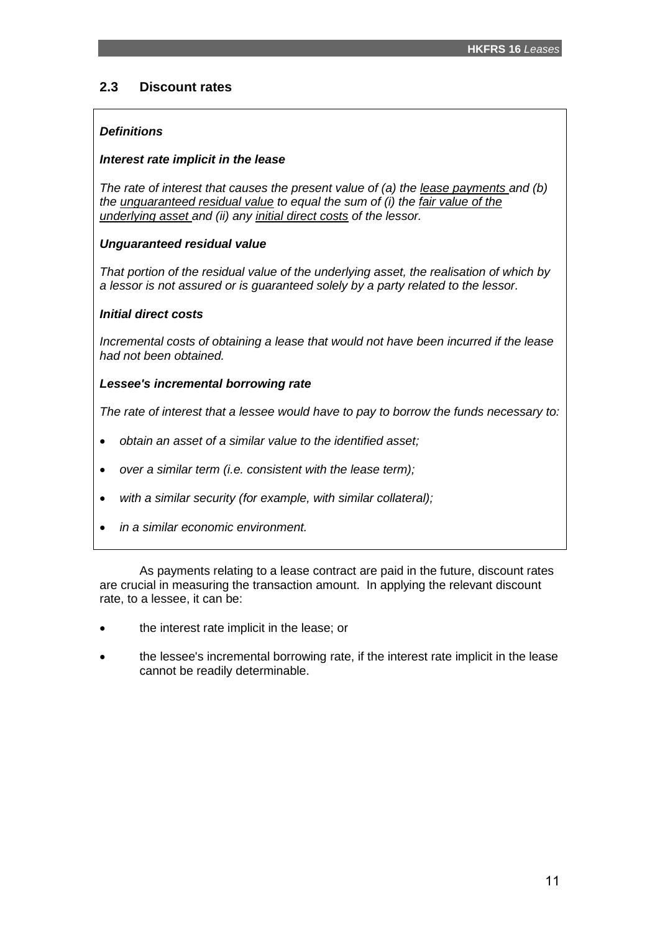# **2.3 Discount rates**

# *Definitions*

### *Interest rate implicit in the lease*

*The rate of interest that causes the present value of (a) the lease payments and (b) the unguaranteed residual value to equal the sum of (i) the fair value of the underlying asset and (ii) any initial direct costs of the lessor.*

# *Unguaranteed residual value*

*That portion of the residual value of the underlying asset, the realisation of which by a lessor is not assured or is guaranteed solely by a party related to the lessor.*

### *Initial direct costs*

*Incremental costs of obtaining a lease that would not have been incurred if the lease had not been obtained.*

### *Lessee's incremental borrowing rate*

*The rate of interest that a lessee would have to pay to borrow the funds necessary to:*

- *obtain an asset of a similar value to the identified asset;*
- *over a similar term (i.e. consistent with the lease term);*
- *with a similar security (for example, with similar collateral);*
- *in a similar economic environment.*

As payments relating to a lease contract are paid in the future, discount rates are crucial in measuring the transaction amount. In applying the relevant discount rate, to a lessee, it can be:

- the interest rate implicit in the lease; or
- the lessee's incremental borrowing rate, if the interest rate implicit in the lease cannot be readily determinable.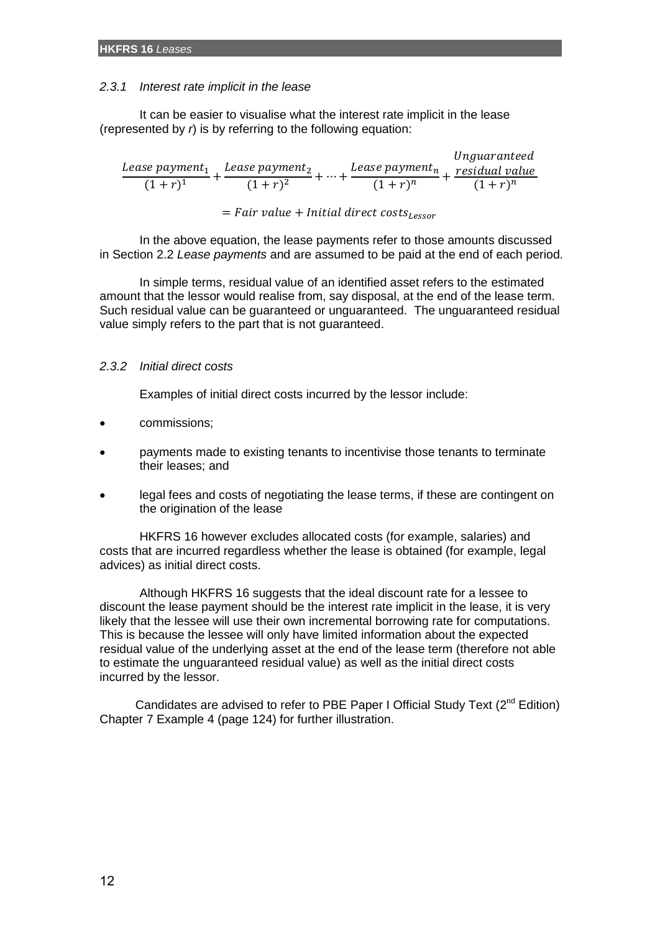### *2.3.1 Interest rate implicit in the lease*

It can be easier to visualise what the interest rate implicit in the lease (represented by *r*) is by referring to the following equation:

| Lease payment,<br>Lease payment <sub>n</sub><br>Lease payment,<br>$(1+r)^2$<br>$(1+r)^{1}$<br>$(1+r)^n$<br>$(1+r)^n$ |  | Unguaranteed   |
|----------------------------------------------------------------------------------------------------------------------|--|----------------|
|                                                                                                                      |  | residual value |
|                                                                                                                      |  |                |

 $= Fair value + Initial direct costs_{lescr}$ 

In the above equation, the lease payments refer to those amounts discussed in Section 2.2 *Lease payments* and are assumed to be paid at the end of each period.

In simple terms, residual value of an identified asset refers to the estimated amount that the lessor would realise from, say disposal, at the end of the lease term. Such residual value can be guaranteed or unguaranteed. The unguaranteed residual value simply refers to the part that is not guaranteed.

# *2.3.2 Initial direct costs*

Examples of initial direct costs incurred by the lessor include:

- commissions;
- payments made to existing tenants to incentivise those tenants to terminate their leases; and
- legal fees and costs of negotiating the lease terms, if these are contingent on the origination of the lease

HKFRS 16 however excludes allocated costs (for example, salaries) and costs that are incurred regardless whether the lease is obtained (for example, legal advices) as initial direct costs.

Although HKFRS 16 suggests that the ideal discount rate for a lessee to discount the lease payment should be the interest rate implicit in the lease, it is very likely that the lessee will use their own incremental borrowing rate for computations. This is because the lessee will only have limited information about the expected residual value of the underlying asset at the end of the lease term (therefore not able to estimate the unguaranteed residual value) as well as the initial direct costs incurred by the lessor.

Candidates are advised to refer to PBE Paper I Official Study Text  $(2^{nd}$  Edition) Chapter 7 Example 4 (page 124) for further illustration.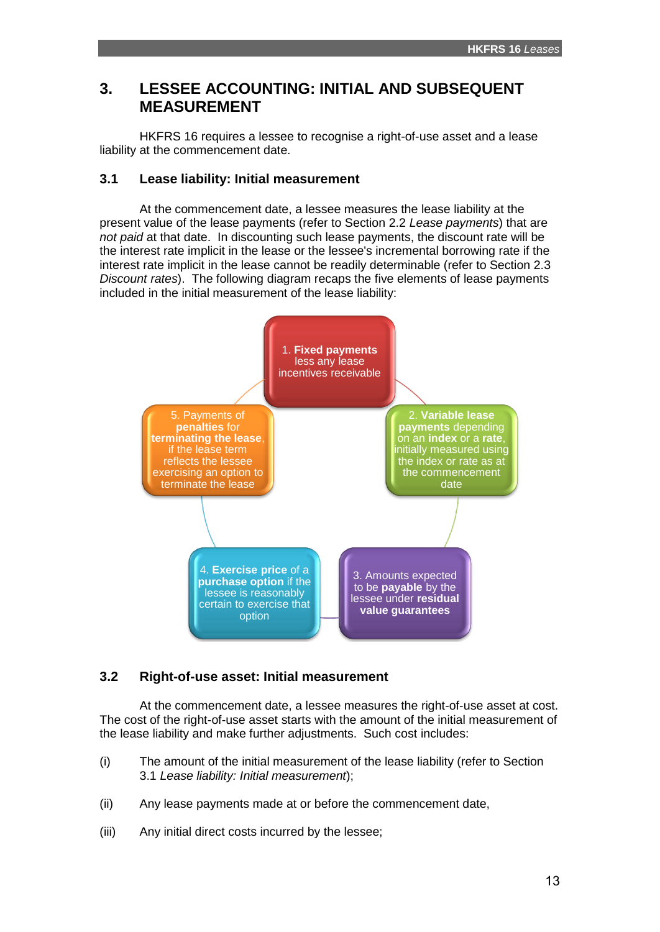# **3. LESSEE ACCOUNTING: INITIAL AND SUBSEQUENT MEASUREMENT**

HKFRS 16 requires a lessee to recognise a right-of-use asset and a lease liability at the commencement date.

# **3.1 Lease liability: Initial measurement**

At the commencement date, a lessee measures the lease liability at the present value of the lease payments (refer to Section 2.2 *Lease payments*) that are *not paid* at that date. In discounting such lease payments, the discount rate will be the interest rate implicit in the lease or the lessee's incremental borrowing rate if the interest rate implicit in the lease cannot be readily determinable (refer to Section 2.3 *Discount rates*). The following diagram recaps the five elements of lease payments included in the initial measurement of the lease liability:



# **3.2 Right-of-use asset: Initial measurement**

At the commencement date, a lessee measures the right-of-use asset at cost. The cost of the right-of-use asset starts with the amount of the initial measurement of the lease liability and make further adjustments. Such cost includes:

- (i) The amount of the initial measurement of the lease liability (refer to Section 3.1 *Lease liability: Initial measurement*);
- (ii) Any lease payments made at or before the commencement date,
- (iii) Any initial direct costs incurred by the lessee;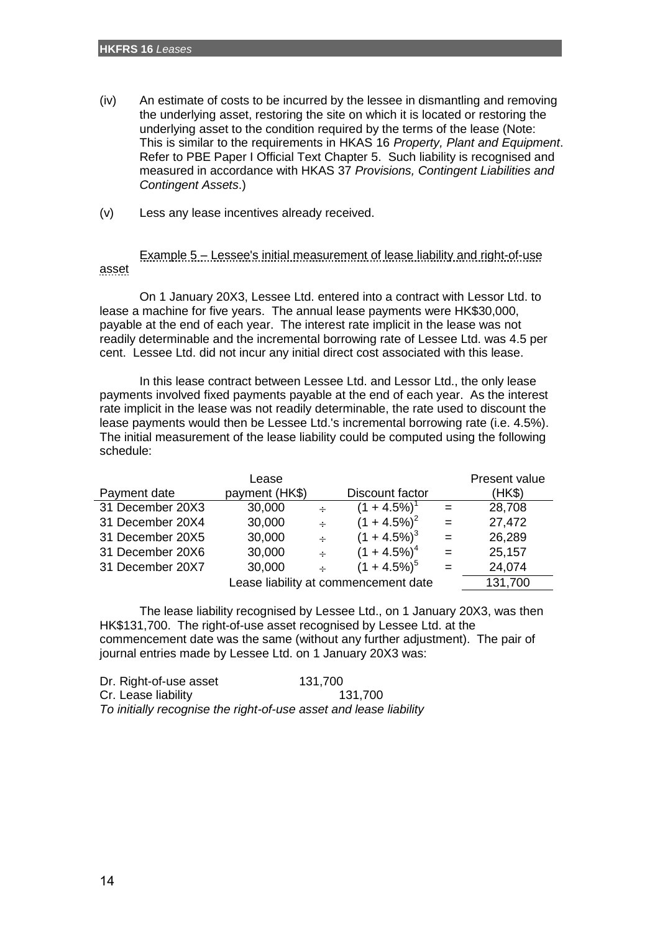- (iv) An estimate of costs to be incurred by the lessee in dismantling and removing the underlying asset, restoring the site on which it is located or restoring the underlying asset to the condition required by the terms of the lease (Note: This is similar to the requirements in HKAS 16 *Property, Plant and Equipment*. Refer to PBE Paper I Official Text Chapter 5. Such liability is recognised and measured in accordance with HKAS 37 *Provisions, Contingent Liabilities and Contingent Assets*.)
- (v) Less any lease incentives already received.

Example 5 – Lessee's initial measurement of lease liability and right-of-use asset

On 1 January 20X3, Lessee Ltd. entered into a contract with Lessor Ltd. to lease a machine for five years. The annual lease payments were HK\$30,000, payable at the end of each year. The interest rate implicit in the lease was not readily determinable and the incremental borrowing rate of Lessee Ltd. was 4.5 per cent. Lessee Ltd. did not incur any initial direct cost associated with this lease.

In this lease contract between Lessee Ltd. and Lessor Ltd., the only lease payments involved fixed payments payable at the end of each year. As the interest rate implicit in the lease was not readily determinable, the rate used to discount the lease payments would then be Lessee Ltd.'s incremental borrowing rate (i.e. 4.5%). The initial measurement of the lease liability could be computed using the following schedule:

|                  | Lease          |        |                                      |     | Present value |
|------------------|----------------|--------|--------------------------------------|-----|---------------|
| Payment date     | payment (HK\$) |        | Discount factor                      |     | (HK\$)        |
| 31 December 20X3 | 30,000         | $\div$ | $(1 + 4.5\%)^T$                      | $=$ | 28,708        |
| 31 December 20X4 | 30,000         | $\div$ | $(1 + 4.5\%)^2$                      |     | 27,472        |
| 31 December 20X5 | 30,000         | $\div$ | $(1 + 4.5\%)^3$                      | $=$ | 26,289        |
| 31 December 20X6 | 30,000         | $\div$ | $(1 + 4.5\%)^4$                      | $=$ | 25,157        |
| 31 December 20X7 | 30,000         | $\div$ | $(1 + 4.5\%)^5$                      |     | 24,074        |
|                  |                |        | Lease liability at commencement date |     | 131,700       |

The lease liability recognised by Lessee Ltd., on 1 January 20X3, was then HK\$131,700. The right-of-use asset recognised by Lessee Ltd. at the commencement date was the same (without any further adjustment). The pair of journal entries made by Lessee Ltd. on 1 January 20X3 was:

Dr. Right-of-use asset 131,700 Cr. Lease liability 131,700 *To initially recognise the right-of-use asset and lease liability*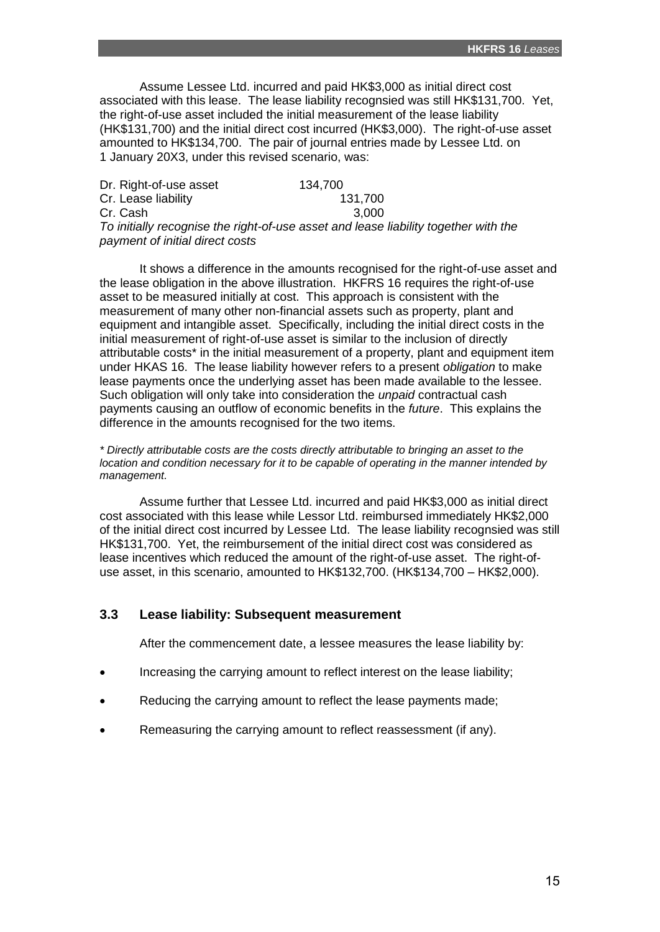Assume Lessee Ltd. incurred and paid HK\$3,000 as initial direct cost associated with this lease. The lease liability recognsied was still HK\$131,700. Yet, the right-of-use asset included the initial measurement of the lease liability (HK\$131,700) and the initial direct cost incurred (HK\$3,000). The right-of-use asset amounted to HK\$134,700. The pair of journal entries made by Lessee Ltd. on 1 January 20X3, under this revised scenario, was:

| Dr. Right-of-use asset          | 134,700                                                                             |  |
|---------------------------------|-------------------------------------------------------------------------------------|--|
| Cr. Lease liability             | 131,700                                                                             |  |
| Cr. Cash                        | 3.000                                                                               |  |
|                                 | To initially recognise the right-of-use asset and lease liability together with the |  |
| payment of initial direct costs |                                                                                     |  |

It shows a difference in the amounts recognised for the right-of-use asset and the lease obligation in the above illustration. HKFRS 16 requires the right-of-use asset to be measured initially at cost. This approach is consistent with the measurement of many other non-financial assets such as property, plant and equipment and intangible asset. Specifically, including the initial direct costs in the initial measurement of right-of-use asset is similar to the inclusion of directly attributable costs\* in the initial measurement of a property, plant and equipment item under HKAS 16. The lease liability however refers to a present *obligation* to make lease payments once the underlying asset has been made available to the lessee. Such obligation will only take into consideration the *unpaid* contractual cash payments causing an outflow of economic benefits in the *future*. This explains the difference in the amounts recognised for the two items.

*\* Directly attributable costs are the costs directly attributable to bringing an asset to the location and condition necessary for it to be capable of operating in the manner intended by management.*

Assume further that Lessee Ltd. incurred and paid HK\$3,000 as initial direct cost associated with this lease while Lessor Ltd. reimbursed immediately HK\$2,000 of the initial direct cost incurred by Lessee Ltd. The lease liability recognsied was still HK\$131,700. Yet, the reimbursement of the initial direct cost was considered as lease incentives which reduced the amount of the right-of-use asset. The right-ofuse asset, in this scenario, amounted to HK\$132,700. (HK\$134,700 – HK\$2,000).

# **3.3 Lease liability: Subsequent measurement**

After the commencement date, a lessee measures the lease liability by:

- Increasing the carrying amount to reflect interest on the lease liability;
- Reducing the carrying amount to reflect the lease payments made;
- Remeasuring the carrying amount to reflect reassessment (if any).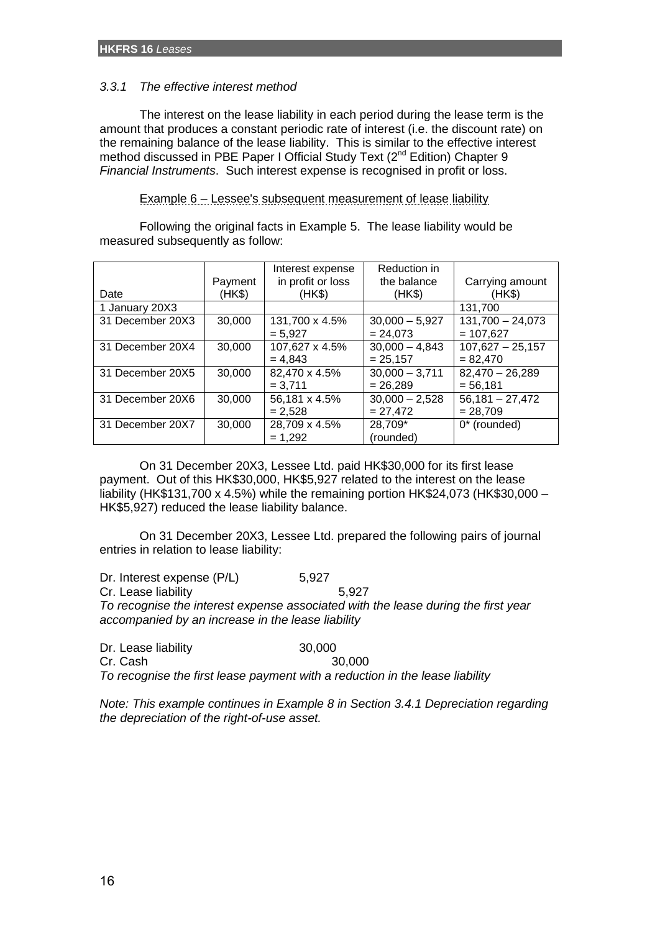### *3.3.1 The effective interest method*

The interest on the lease liability in each period during the lease term is the amount that produces a constant periodic rate of interest (i.e. the discount rate) on the remaining balance of the lease liability. This is similar to the effective interest method discussed in PBE Paper I Official Study Text (2<sup>nd</sup> Edition) Chapter 9 *Financial Instruments*. Such interest expense is recognised in profit or loss.

Example 6 – Lessee's subsequent measurement of lease liability

Following the original facts in Example 5. The lease liability would be measured subsequently as follow:

|                  |         | Interest expense  | Reduction in     |                    |
|------------------|---------|-------------------|------------------|--------------------|
|                  | Payment | in profit or loss | the balance      | Carrying amount    |
| Date             | (HK\$)  | (HK\$)            | (HK\$)           | (HKS)              |
| 1 January 20X3   |         |                   |                  | 131,700            |
| 31 December 20X3 | 30,000  | 131,700 x 4.5%    | $30,000 - 5,927$ | $131,700 - 24,073$ |
|                  |         | $= 5.927$         | $= 24,073$       | $= 107,627$        |
| 31 December 20X4 | 30,000  | 107,627 x 4.5%    | $30,000 - 4,843$ | $107,627 - 25,157$ |
|                  |         | $= 4.843$         | $= 25,157$       | $= 82.470$         |
| 31 December 20X5 | 30,000  | 82,470 x 4.5%     | $30,000 - 3,711$ | $82,470 - 26,289$  |
|                  |         | $= 3.711$         | $= 26.289$       | $= 56,181$         |
| 31 December 20X6 | 30,000  | 56,181 x 4.5%     | $30,000 - 2,528$ | $56,181 - 27,472$  |
|                  |         | $= 2.528$         | $= 27.472$       | $= 28.709$         |
| 31 December 20X7 | 30,000  | 28,709 x 4.5%     | 28,709*          | 0* (rounded)       |
|                  |         | $= 1.292$         | (rounded)        |                    |

On 31 December 20X3, Lessee Ltd. paid HK\$30,000 for its first lease payment. Out of this HK\$30,000, HK\$5,927 related to the interest on the lease liability (HK\$131,700 x 4.5%) while the remaining portion HK\$24,073 (HK\$30,000 – HK\$5,927) reduced the lease liability balance.

On 31 December 20X3, Lessee Ltd. prepared the following pairs of journal entries in relation to lease liability:

Dr. Interest expense (P/L) 5,927 Cr. Lease liability 5,927 *To recognise the interest expense associated with the lease during the first year accompanied by an increase in the lease liability*

Dr. Lease liability 30,000 Cr. Cash 30,000 *To recognise the first lease payment with a reduction in the lease liability*

*Note: This example continues in Example 8 in Section 3.4.1 Depreciation regarding the depreciation of the right-of-use asset.*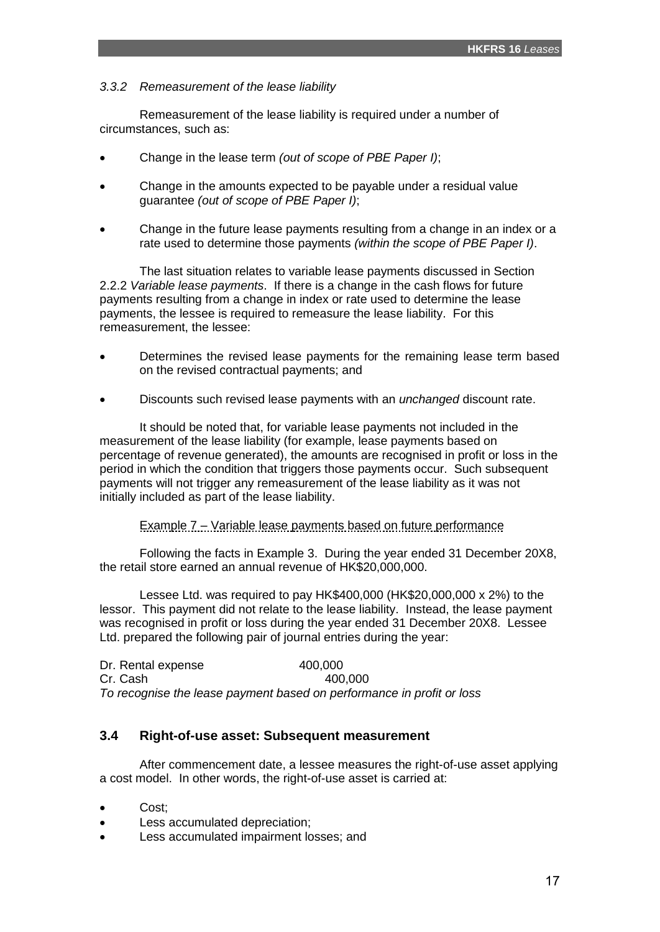# *3.3.2 Remeasurement of the lease liability*

Remeasurement of the lease liability is required under a number of circumstances, such as:

- Change in the lease term *(out of scope of PBE Paper I)*;
- Change in the amounts expected to be payable under a residual value guarantee *(out of scope of PBE Paper I)*;
- Change in the future lease payments resulting from a change in an index or a rate used to determine those payments *(within the scope of PBE Paper I)*.

The last situation relates to variable lease payments discussed in Section 2.2.2 *Variable lease payments*. If there is a change in the cash flows for future payments resulting from a change in index or rate used to determine the lease payments, the lessee is required to remeasure the lease liability. For this remeasurement, the lessee:

- Determines the revised lease payments for the remaining lease term based on the revised contractual payments; and
- Discounts such revised lease payments with an *unchanged* discount rate.

It should be noted that, for variable lease payments not included in the measurement of the lease liability (for example, lease payments based on percentage of revenue generated), the amounts are recognised in profit or loss in the period in which the condition that triggers those payments occur. Such subsequent payments will not trigger any remeasurement of the lease liability as it was not initially included as part of the lease liability.

Example 7 – Variable lease payments based on future performance

Following the facts in Example 3. During the year ended 31 December 20X8, the retail store earned an annual revenue of HK\$20,000,000.

Lessee Ltd. was required to pay HK\$400,000 (HK\$20,000,000 x 2%) to the lessor. This payment did not relate to the lease liability. Instead, the lease payment was recognised in profit or loss during the year ended 31 December 20X8. Lessee Ltd. prepared the following pair of journal entries during the year:

Dr. Rental expense 400,000 Cr. Cash 400,000 *To recognise the lease payment based on performance in profit or loss*

# **3.4 Right-of-use asset: Subsequent measurement**

After commencement date, a lessee measures the right-of-use asset applying a cost model. In other words, the right-of-use asset is carried at:

- Cost;
- Less accumulated depreciation;
- Less accumulated impairment losses; and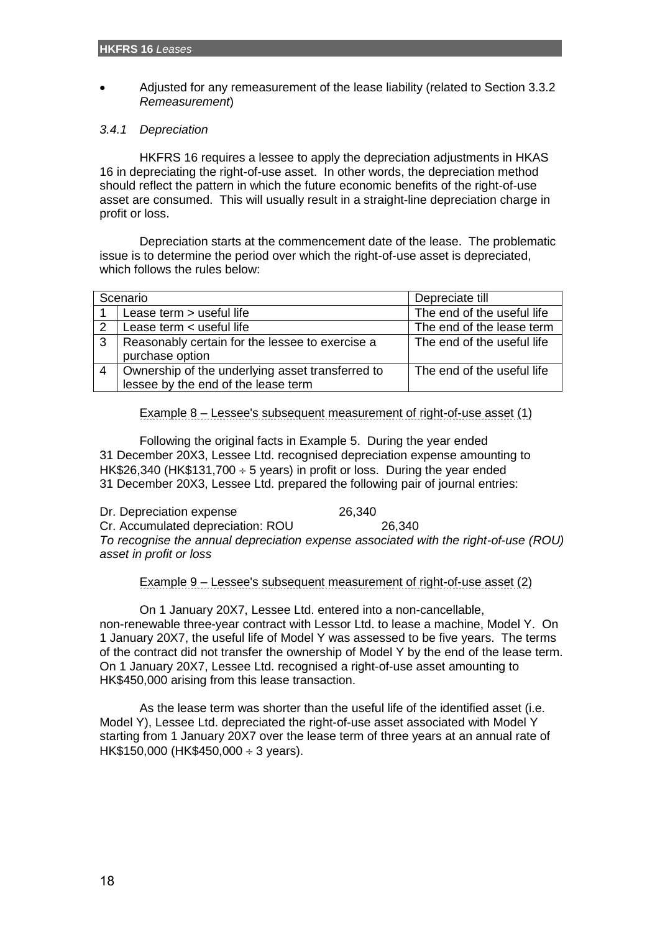Adjusted for any remeasurement of the lease liability (related to Section 3.3.2 *Remeasurement*)

# *3.4.1 Depreciation*

HKFRS 16 requires a lessee to apply the depreciation adjustments in HKAS 16 in depreciating the right-of-use asset. In other words, the depreciation method should reflect the pattern in which the future economic benefits of the right-of-use asset are consumed. This will usually result in a straight-line depreciation charge in profit or loss.

Depreciation starts at the commencement date of the lease. The problematic issue is to determine the period over which the right-of-use asset is depreciated, which follows the rules below:

|                | Scenario                                         | Depreciate till            |
|----------------|--------------------------------------------------|----------------------------|
|                | Lease term > useful life                         | The end of the useful life |
| 2              | Lease term < useful life                         | The end of the lease term  |
| 3              | Reasonably certain for the lessee to exercise a  | The end of the useful life |
|                | purchase option                                  |                            |
| $\overline{4}$ | Ownership of the underlying asset transferred to | The end of the useful life |
|                | lessee by the end of the lease term              |                            |

# Example 8 – Lessee's subsequent measurement of right-of-use asset (1)

Following the original facts in Example 5. During the year ended 31 December 20X3, Lessee Ltd. recognised depreciation expense amounting to HK\$26,340 (HK\$131,700  $\div$  5 years) in profit or loss. During the year ended 31 December 20X3, Lessee Ltd. prepared the following pair of journal entries:

Dr. Depreciation expense 26,340 Cr. Accumulated depreciation: ROU 26,340 *To recognise the annual depreciation expense associated with the right-of-use (ROU) asset in profit or loss*

# Example 9 – Lessee's subsequent measurement of right-of-use asset (2)

On 1 January 20X7, Lessee Ltd. entered into a non-cancellable, non-renewable three-year contract with Lessor Ltd. to lease a machine, Model Y. On 1 January 20X7, the useful life of Model Y was assessed to be five years. The terms of the contract did not transfer the ownership of Model Y by the end of the lease term. On 1 January 20X7, Lessee Ltd. recognised a right-of-use asset amounting to HK\$450,000 arising from this lease transaction.

As the lease term was shorter than the useful life of the identified asset (i.e. Model Y), Lessee Ltd. depreciated the right-of-use asset associated with Model Y starting from 1 January 20X7 over the lease term of three years at an annual rate of HK\$150,000 (HK\$450,000  $\div$  3 years).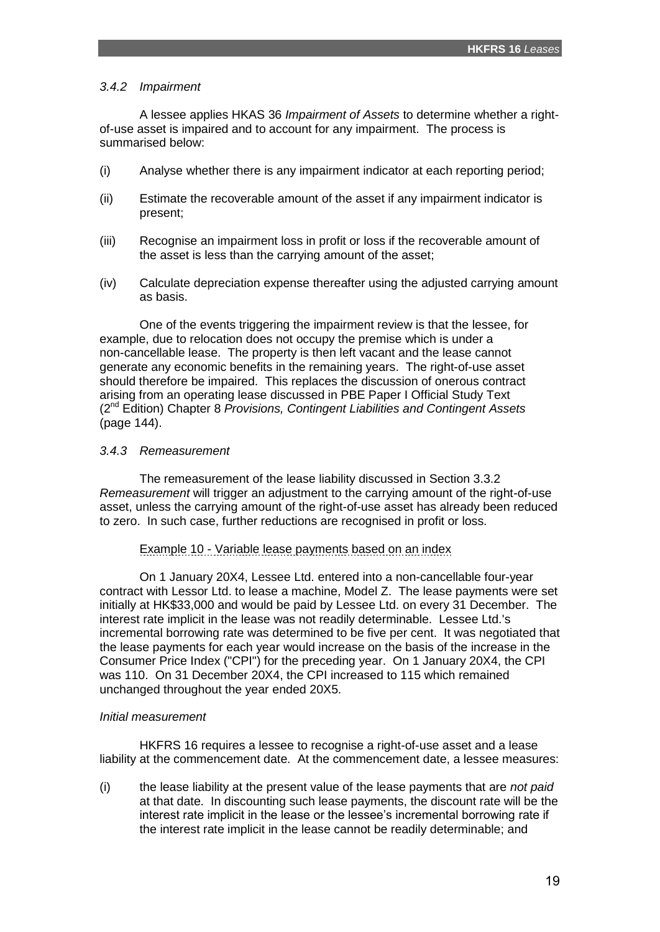### *3.4.2 Impairment*

A lessee applies HKAS 36 *Impairment of Assets* to determine whether a rightof-use asset is impaired and to account for any impairment. The process is summarised below:

- (i) Analyse whether there is any impairment indicator at each reporting period;
- (ii) Estimate the recoverable amount of the asset if any impairment indicator is present;
- (iii) Recognise an impairment loss in profit or loss if the recoverable amount of the asset is less than the carrying amount of the asset;
- (iv) Calculate depreciation expense thereafter using the adjusted carrying amount as basis.

One of the events triggering the impairment review is that the lessee, for example, due to relocation does not occupy the premise which is under a non-cancellable lease. The property is then left vacant and the lease cannot generate any economic benefits in the remaining years. The right-of-use asset should therefore be impaired. This replaces the discussion of onerous contract arising from an operating lease discussed in PBE Paper I Official Study Text (2nd Edition) Chapter 8 *Provisions, Contingent Liabilities and Contingent Assets* (page 144).

### *3.4.3 Remeasurement*

The remeasurement of the lease liability discussed in Section 3.3.2 *Remeasurement* will trigger an adjustment to the carrying amount of the right-of-use asset, unless the carrying amount of the right-of-use asset has already been reduced to zero. In such case, further reductions are recognised in profit or loss.

# Example 10 - Variable lease payments based on an index

On 1 January 20X4, Lessee Ltd. entered into a non-cancellable four-year contract with Lessor Ltd. to lease a machine, Model Z. The lease payments were set initially at HK\$33,000 and would be paid by Lessee Ltd. on every 31 December. The interest rate implicit in the lease was not readily determinable. Lessee Ltd.'s incremental borrowing rate was determined to be five per cent. It was negotiated that the lease payments for each year would increase on the basis of the increase in the Consumer Price Index ("CPI") for the preceding year. On 1 January 20X4, the CPI was 110. On 31 December 20X4, the CPI increased to 115 which remained unchanged throughout the year ended 20X5.

#### *Initial measurement*

HKFRS 16 requires a lessee to recognise a right-of-use asset and a lease liability at the commencement date. At the commencement date, a lessee measures:

(i) the lease liability at the present value of the lease payments that are *not paid* at that date. In discounting such lease payments, the discount rate will be the interest rate implicit in the lease or the lessee's incremental borrowing rate if the interest rate implicit in the lease cannot be readily determinable; and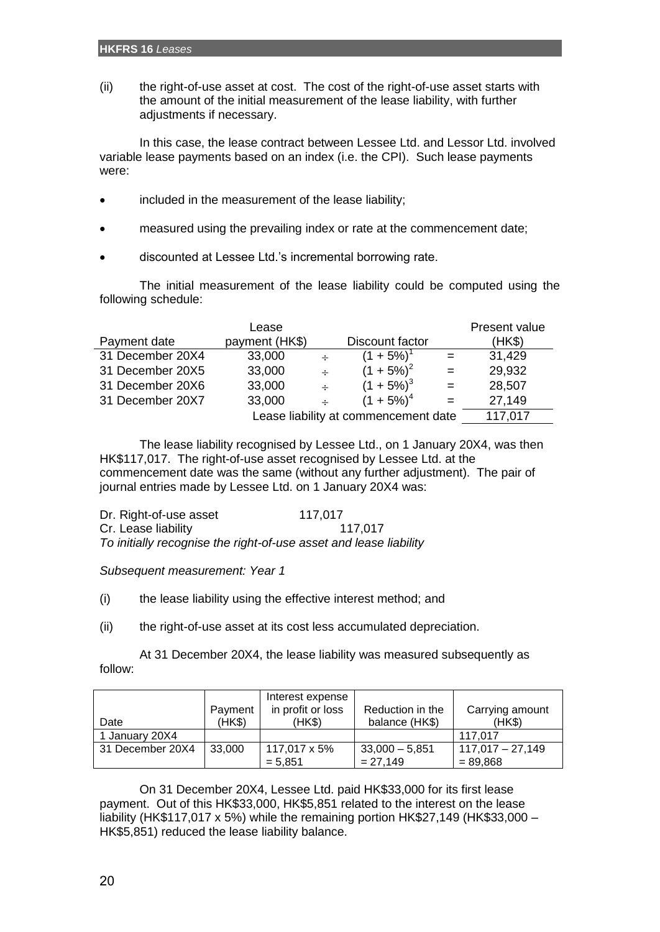(ii) the right-of-use asset at cost. The cost of the right-of-use asset starts with the amount of the initial measurement of the lease liability, with further adjustments if necessary.

In this case, the lease contract between Lessee Ltd. and Lessor Ltd. involved variable lease payments based on an index (i.e. the CPI). Such lease payments were:

- included in the measurement of the lease liability;
- measured using the prevailing index or rate at the commencement date;
- discounted at Lessee Ltd.'s incremental borrowing rate.

The initial measurement of the lease liability could be computed using the following schedule:

|                  | Lease          |        |                                      |         | Present value |
|------------------|----------------|--------|--------------------------------------|---------|---------------|
| Payment date     | payment (HK\$) |        | Discount factor                      |         | (HK\$)        |
| 31 December 20X4 | 33,000         | $\div$ | $(1 + 5\%)$ <sup>1</sup>             | $=$ $-$ | 31,429        |
| 31 December 20X5 | 33,000         | $\div$ | $(1 + 5\%)^2$                        | $=$     | 29,932        |
| 31 December 20X6 | 33,000         | $\div$ | $(1 + 5\%)^3$                        | $=$     | 28,507        |
| 31 December 20X7 | 33,000         | $\div$ | $(1 + 5\%)^4$                        | $=$     | 27,149        |
|                  |                |        | Lease liability at commencement date |         | 117,017       |

The lease liability recognised by Lessee Ltd., on 1 January 20X4, was then HK\$117,017. The right-of-use asset recognised by Lessee Ltd. at the commencement date was the same (without any further adjustment). The pair of journal entries made by Lessee Ltd. on 1 January 20X4 was:

| Dr. Right-of-use asset | 117,017                                                           |
|------------------------|-------------------------------------------------------------------|
| Cr. Lease liability    | 117.017                                                           |
|                        | To initially recognise the right-of-use asset and lease liability |

*Subsequent measurement: Year 1*

(i) the lease liability using the effective interest method; and

(ii) the right-of-use asset at its cost less accumulated depreciation.

At 31 December 20X4, the lease liability was measured subsequently as follow:

| Date             | Payment<br>(HK\$) | Interest expense<br>in profit or loss<br>(HK\$) | Reduction in the<br>balance (HK\$) | Carrying amount<br>(HKS)         |
|------------------|-------------------|-------------------------------------------------|------------------------------------|----------------------------------|
| 1 January 20X4   |                   |                                                 |                                    | 117.017                          |
| 31 December 20X4 | 33,000            | 117.017 x 5%<br>$= 5.851$                       | $33,000 - 5,851$<br>$= 27.149$     | $117,017 - 27,149$<br>$= 89.868$ |

On 31 December 20X4, Lessee Ltd. paid HK\$33,000 for its first lease payment. Out of this HK\$33,000, HK\$5,851 related to the interest on the lease liability (HK\$117,017 x 5%) while the remaining portion HK\$27,149 (HK\$33,000 – HK\$5,851) reduced the lease liability balance.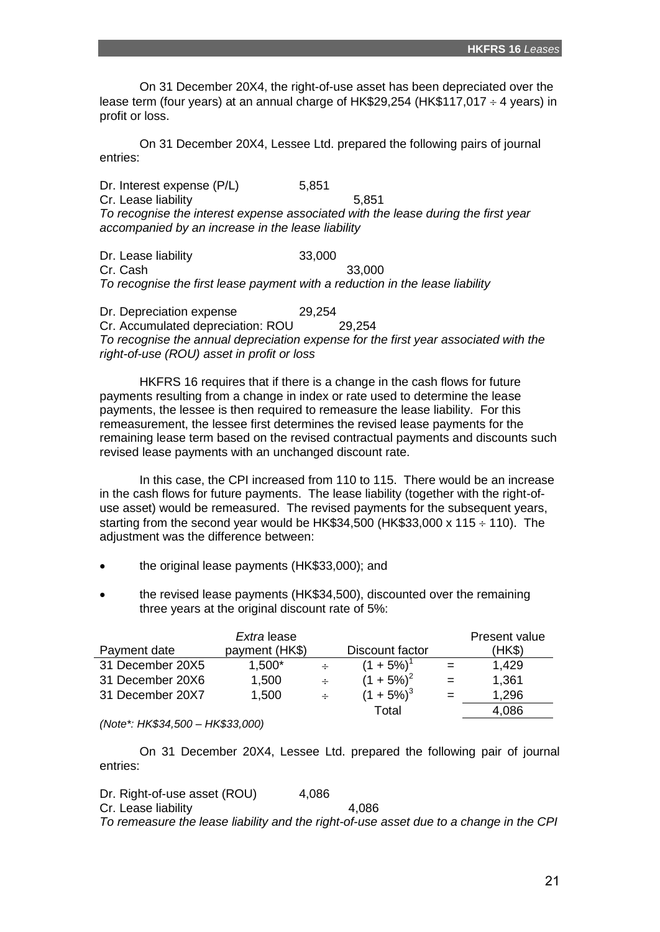On 31 December 20X4, the right-of-use asset has been depreciated over the lease term (four years) at an annual charge of HK\$29,254 (HK\$117,017  $\div$  4 years) in profit or loss.

On 31 December 20X4, Lessee Ltd. prepared the following pairs of journal entries:

Dr. Interest expense (P/L) 5,851 Cr. Lease liability 5,851 *To recognise the interest expense associated with the lease during the first year accompanied by an increase in the lease liability*

Dr. Lease liability 33,000 Cr. Cash 33,000 *To recognise the first lease payment with a reduction in the lease liability*

Dr. Depreciation expense 29,254 Cr. Accumulated depreciation: ROU 29,254 *To recognise the annual depreciation expense for the first year associated with the right-of-use (ROU) asset in profit or loss*

HKFRS 16 requires that if there is a change in the cash flows for future payments resulting from a change in index or rate used to determine the lease payments, the lessee is then required to remeasure the lease liability. For this remeasurement, the lessee first determines the revised lease payments for the remaining lease term based on the revised contractual payments and discounts such revised lease payments with an unchanged discount rate.

In this case, the CPI increased from 110 to 115. There would be an increase in the cash flows for future payments. The lease liability (together with the right-ofuse asset) would be remeasured. The revised payments for the subsequent years, starting from the second year would be HK\$34,500 (HK\$33,000  $\times$  115  $\div$  110). The adjustment was the difference between:

- the original lease payments (HK\$33,000); and
- the revised lease payments (HK\$34,500), discounted over the remaining three years at the original discount rate of 5%:

|                  | Extra lease    |                 |     | Present value |
|------------------|----------------|-----------------|-----|---------------|
| Payment date     | payment (HK\$) | Discount factor |     | (HK\$)        |
| 31 December 20X5 | 1,500*         | $(1 + 5\%)^1$   | $=$ | 1.429         |
| 31 December 20X6 | 1,500          | $(1 + 5\%)^2$   | $=$ | 1,361         |
| 31 December 20X7 | 1,500          | $(1 + 5\%)^3$   |     | 1,296         |
|                  |                | Total           |     | 4,086         |

*(Note\*: HK\$34,500 – HK\$33,000)*

On 31 December 20X4, Lessee Ltd. prepared the following pair of journal entries:

Dr. Right-of-use asset (ROU) 4,086 Cr. Lease liability 4,086 *To remeasure the lease liability and the right-of-use asset due to a change in the CPI*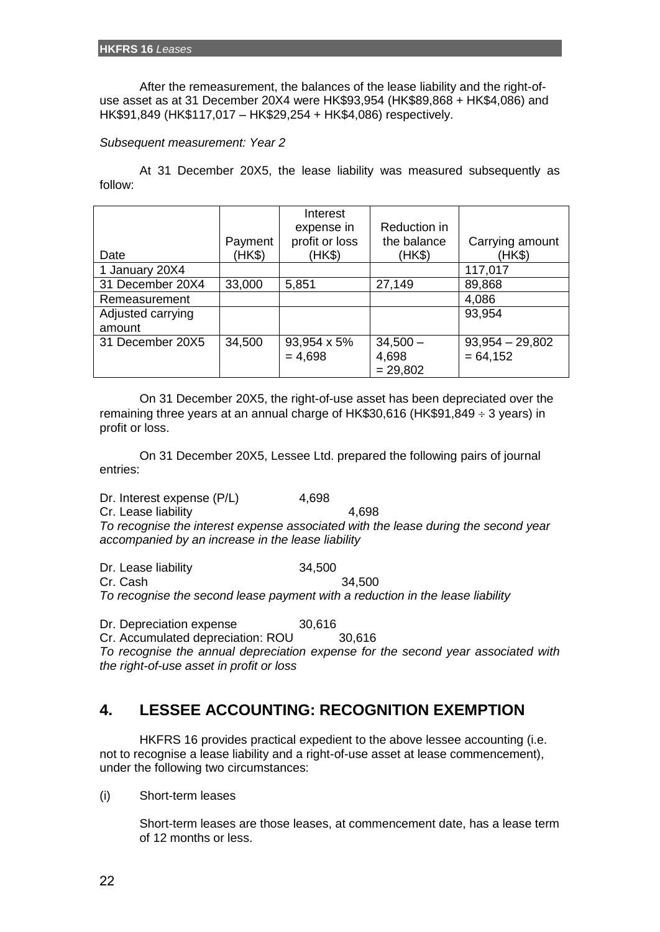After the remeasurement, the balances of the lease liability and the right-ofuse asset as at 31 December 20X4 were HK\$93,954 (HK\$89,868 + HK\$4,086) and HK\$91,849 (HK\$117,017 – HK\$29,254 + HK\$4,086) respectively.

### *Subsequent measurement: Year 2*

At 31 December 20X5, the lease liability was measured subsequently as follow:

|                   |         | Interest       |              |                   |
|-------------------|---------|----------------|--------------|-------------------|
|                   |         | expense in     | Reduction in |                   |
|                   | Payment | profit or loss | the balance  | Carrying amount   |
| Date              | (HK\$)  | (HK\$)         | (HK\$)       | (HK\$)            |
| 1 January 20X4    |         |                |              | 117,017           |
| 31 December 20X4  | 33,000  | 5,851          | 27,149       | 89,868            |
| Remeasurement     |         |                |              | 4,086             |
| Adjusted carrying |         |                |              | 93,954            |
| amount            |         |                |              |                   |
| 31 December 20X5  | 34,500  | 93,954 x 5%    | $34,500 -$   | $93,954 - 29,802$ |
|                   |         | $= 4,698$      | 4,698        | $= 64, 152$       |
|                   |         |                | $= 29,802$   |                   |

On 31 December 20X5, the right-of-use asset has been depreciated over the remaining three years at an annual charge of HK\$30,616 (HK\$91,849  $\div$  3 years) in profit or loss.

On 31 December 20X5, Lessee Ltd. prepared the following pairs of journal entries:

Dr. Interest expense (P/L) 4,698 Cr. Lease liability 4,698 *To recognise the interest expense associated with the lease during the second year accompanied by an increase in the lease liability*

Dr. Lease liability 34,500

Cr. Cash 34,500

*To recognise the second lease payment with a reduction in the lease liability*

Dr. Depreciation expense 30,616

Cr. Accumulated depreciation: ROU 30,616

*To recognise the annual depreciation expense for the second year associated with the right-of-use asset in profit or loss*

# **4. LESSEE ACCOUNTING: RECOGNITION EXEMPTION**

HKFRS 16 provides practical expedient to the above lessee accounting (i.e. not to recognise a lease liability and a right-of-use asset at lease commencement), under the following two circumstances:

(i) Short-term leases

Short-term leases are those leases, at commencement date, has a lease term of 12 months or less.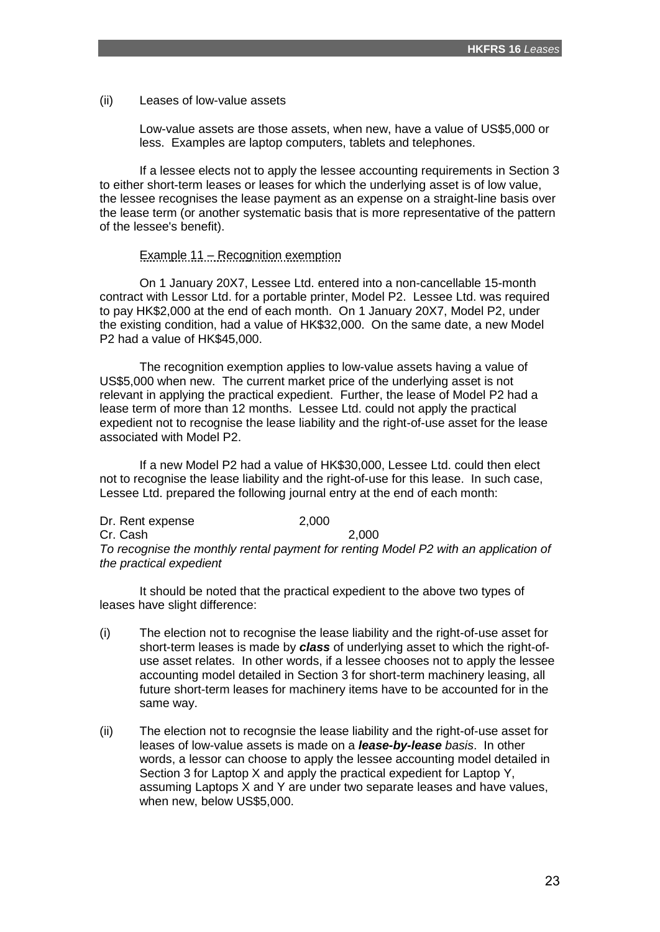(ii) Leases of low-value assets

Low-value assets are those assets, when new, have a value of US\$5,000 or less. Examples are laptop computers, tablets and telephones.

If a lessee elects not to apply the lessee accounting requirements in Section 3 to either short-term leases or leases for which the underlying asset is of low value, the lessee recognises the lease payment as an expense on a straight-line basis over the lease term (or another systematic basis that is more representative of the pattern of the lessee's benefit).

#### Example 11 – Recognition exemption

On 1 January 20X7, Lessee Ltd. entered into a non-cancellable 15-month contract with Lessor Ltd. for a portable printer, Model P2. Lessee Ltd. was required to pay HK\$2,000 at the end of each month. On 1 January 20X7, Model P2, under the existing condition, had a value of HK\$32,000. On the same date, a new Model P2 had a value of HK\$45,000.

The recognition exemption applies to low-value assets having a value of US\$5,000 when new. The current market price of the underlying asset is not relevant in applying the practical expedient. Further, the lease of Model P2 had a lease term of more than 12 months. Lessee Ltd. could not apply the practical expedient not to recognise the lease liability and the right-of-use asset for the lease associated with Model P2.

If a new Model P2 had a value of HK\$30,000, Lessee Ltd. could then elect not to recognise the lease liability and the right-of-use for this lease. In such case, Lessee Ltd. prepared the following journal entry at the end of each month:

Dr. Rent expense 2,000 Cr. Cash 2,000 *To recognise the monthly rental payment for renting Model P2 with an application of the practical expedient*

It should be noted that the practical expedient to the above two types of leases have slight difference:

- (i) The election not to recognise the lease liability and the right-of-use asset for short-term leases is made by *class* of underlying asset to which the right-ofuse asset relates. In other words, if a lessee chooses not to apply the lessee accounting model detailed in Section 3 for short-term machinery leasing, all future short-term leases for machinery items have to be accounted for in the same way.
- (ii) The election not to recognsie the lease liability and the right-of-use asset for leases of low-value assets is made on a *lease-by-lease basis*. In other words, a lessor can choose to apply the lessee accounting model detailed in Section 3 for Laptop X and apply the practical expedient for Laptop Y, assuming Laptops X and Y are under two separate leases and have values, when new, below US\$5,000.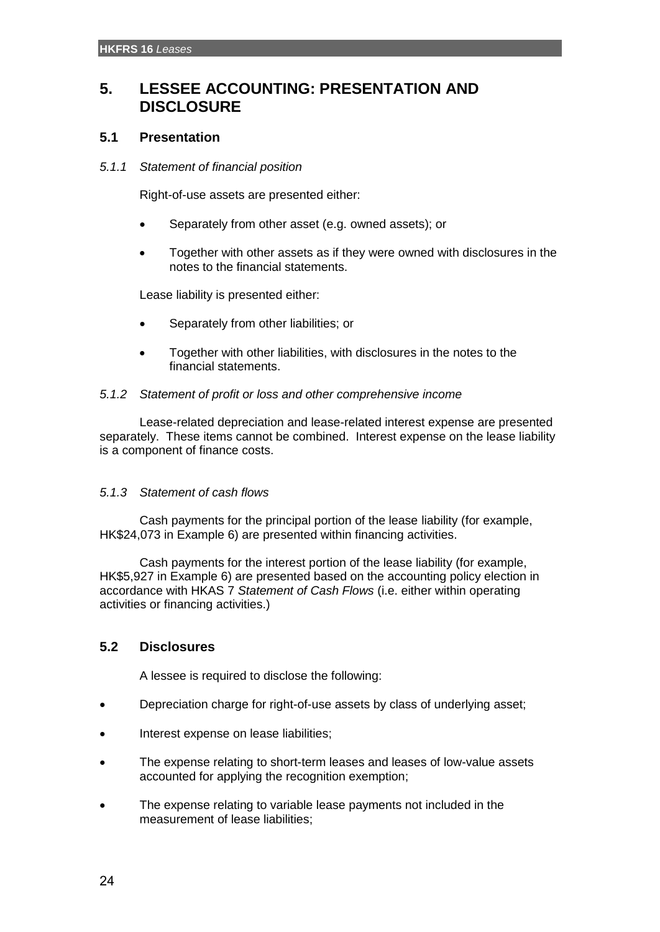# **5. LESSEE ACCOUNTING: PRESENTATION AND DISCLOSURE**

# **5.1 Presentation**

### *5.1.1 Statement of financial position*

Right-of-use assets are presented either:

- Separately from other asset (e.g. owned assets); or
- Together with other assets as if they were owned with disclosures in the notes to the financial statements.

Lease liability is presented either:

- Separately from other liabilities; or
- Together with other liabilities, with disclosures in the notes to the financial statements.

### *5.1.2 Statement of profit or loss and other comprehensive income*

Lease-related depreciation and lease-related interest expense are presented separately. These items cannot be combined. Interest expense on the lease liability is a component of finance costs.

# *5.1.3 Statement of cash flows*

Cash payments for the principal portion of the lease liability (for example, HK\$24,073 in Example 6) are presented within financing activities.

Cash payments for the interest portion of the lease liability (for example, HK\$5,927 in Example 6) are presented based on the accounting policy election in accordance with HKAS 7 *Statement of Cash Flows* (i.e. either within operating activities or financing activities.)

# **5.2 Disclosures**

A lessee is required to disclose the following:

- Depreciation charge for right-of-use assets by class of underlying asset;
- Interest expense on lease liabilities;
- The expense relating to short-term leases and leases of low-value assets accounted for applying the recognition exemption;
- The expense relating to variable lease payments not included in the measurement of lease liabilities;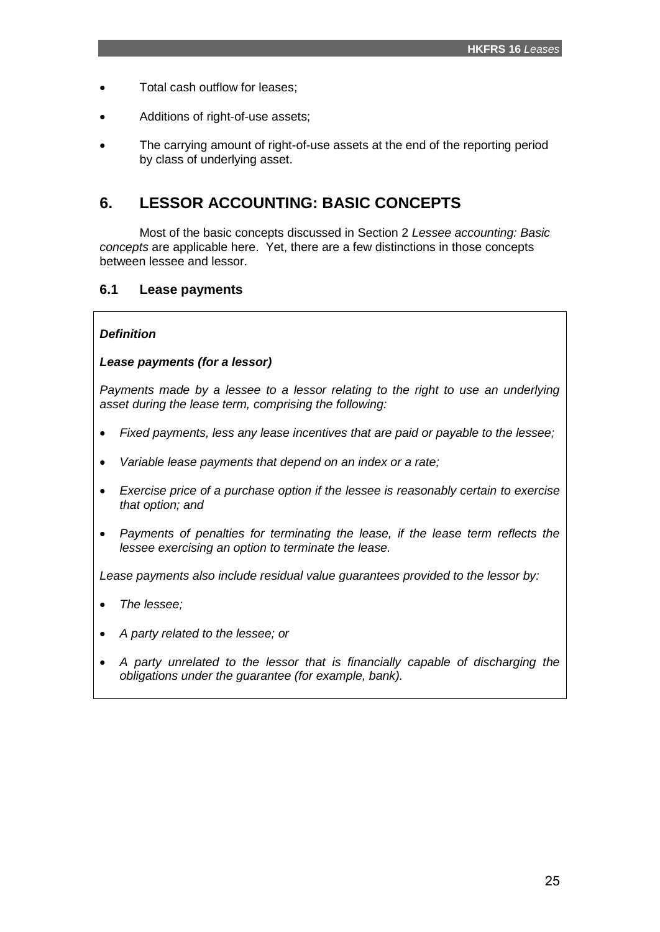- Total cash outflow for leases;
- Additions of right-of-use assets:
- The carrying amount of right-of-use assets at the end of the reporting period by class of underlying asset.

# **6. LESSOR ACCOUNTING: BASIC CONCEPTS**

Most of the basic concepts discussed in Section 2 *Lessee accounting: Basic concepts* are applicable here. Yet, there are a few distinctions in those concepts between lessee and lessor.

# **6.1 Lease payments**

### *Definition*

### *Lease payments (for a lessor)*

*Payments made by a lessee to a lessor relating to the right to use an underlying asset during the lease term, comprising the following:*

- *Fixed payments, less any lease incentives that are paid or payable to the lessee;*
- *Variable lease payments that depend on an index or a rate;*
- *Exercise price of a purchase option if the lessee is reasonably certain to exercise that option; and*
- *Payments of penalties for terminating the lease, if the lease term reflects the lessee exercising an option to terminate the lease.*

*Lease payments also include residual value guarantees provided to the lessor by:*

- *The lessee;*
- *A party related to the lessee; or*
- *A party unrelated to the lessor that is financially capable of discharging the obligations under the guarantee (for example, bank).*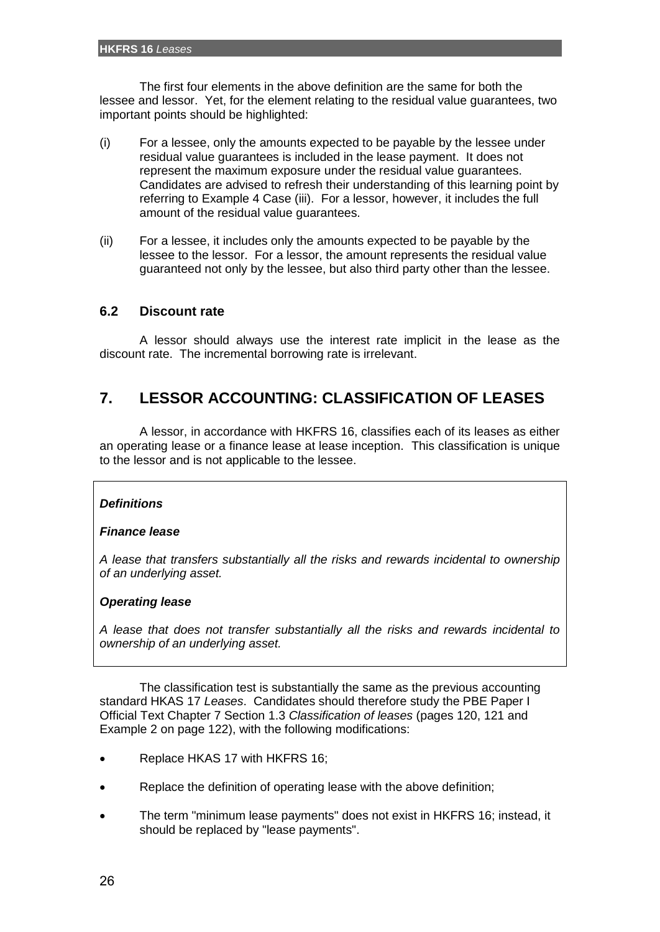The first four elements in the above definition are the same for both the lessee and lessor. Yet, for the element relating to the residual value guarantees, two important points should be highlighted:

- (i) For a lessee, only the amounts expected to be payable by the lessee under residual value guarantees is included in the lease payment. It does not represent the maximum exposure under the residual value guarantees. Candidates are advised to refresh their understanding of this learning point by referring to Example 4 Case (iii). For a lessor, however, it includes the full amount of the residual value guarantees.
- (ii) For a lessee, it includes only the amounts expected to be payable by the lessee to the lessor. For a lessor, the amount represents the residual value guaranteed not only by the lessee, but also third party other than the lessee.

# **6.2 Discount rate**

A lessor should always use the interest rate implicit in the lease as the discount rate. The incremental borrowing rate is irrelevant.

# **7. LESSOR ACCOUNTING: CLASSIFICATION OF LEASES**

A lessor, in accordance with HKFRS 16, classifies each of its leases as either an operating lease or a finance lease at lease inception. This classification is unique to the lessor and is not applicable to the lessee.

# *Definitions*

#### *Finance lease*

*A lease that transfers substantially all the risks and rewards incidental to ownership of an underlying asset.*

#### *Operating lease*

*A lease that does not transfer substantially all the risks and rewards incidental to ownership of an underlying asset.*

The classification test is substantially the same as the previous accounting standard HKAS 17 *Leases*. Candidates should therefore study the PBE Paper I Official Text Chapter 7 Section 1.3 *Classification of leases* (pages 120, 121 and Example 2 on page 122), with the following modifications:

- Replace HKAS 17 with HKFRS 16;
- Replace the definition of operating lease with the above definition;
- The term "minimum lease payments" does not exist in HKFRS 16; instead, it should be replaced by "lease payments".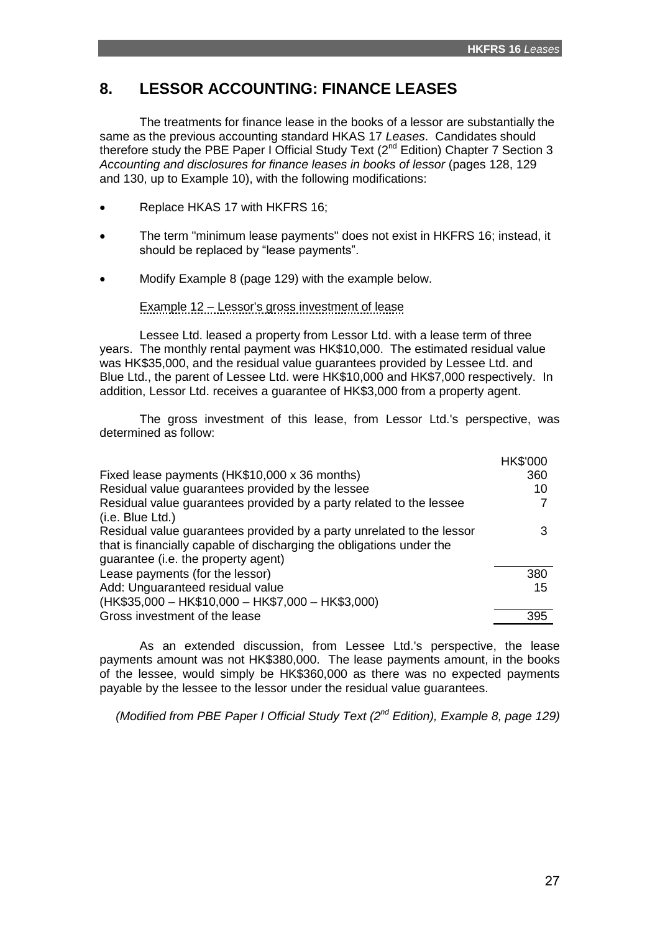# **8. LESSOR ACCOUNTING: FINANCE LEASES**

The treatments for finance lease in the books of a lessor are substantially the same as the previous accounting standard HKAS 17 *Leases*. Candidates should therefore study the PBE Paper I Official Study Text  $(2^{nd}$  Edition) Chapter 7 Section 3 *Accounting and disclosures for finance leases in books of lessor* (pages 128, 129 and 130, up to Example 10), with the following modifications:

- Replace HKAS 17 with HKFRS 16;
- The term "minimum lease payments" does not exist in HKFRS 16; instead, it should be replaced by "lease payments".
- Modify Example 8 (page 129) with the example below.

Example 12 – Lessor's gross investment of lease

Lessee Ltd. leased a property from Lessor Ltd. with a lease term of three years. The monthly rental payment was HK\$10,000. The estimated residual value was HK\$35,000, and the residual value guarantees provided by Lessee Ltd. and Blue Ltd., the parent of Lessee Ltd. were HK\$10,000 and HK\$7,000 respectively. In addition, Lessor Ltd. receives a guarantee of HK\$3,000 from a property agent.

The gross investment of this lease, from Lessor Ltd.'s perspective, was determined as follow:

|                                                                       | <b>HK\$'000</b> |
|-----------------------------------------------------------------------|-----------------|
| Fixed lease payments (HK\$10,000 x 36 months)                         | 360             |
| Residual value guarantees provided by the lessee                      | 10              |
| Residual value guarantees provided by a party related to the lessee   |                 |
| (i.e. Blue Ltd.)                                                      |                 |
| Residual value guarantees provided by a party unrelated to the lessor |                 |
| that is financially capable of discharging the obligations under the  |                 |
| guarantee (i.e. the property agent)                                   |                 |
| Lease payments (for the lessor)                                       | 380             |
| Add: Unguaranteed residual value                                      | 15              |
| (HK\$35,000 - HK\$10,000 - HK\$7,000 - HK\$3,000)                     |                 |
| Gross investment of the lease                                         | 395             |

As an extended discussion, from Lessee Ltd.'s perspective, the lease payments amount was not HK\$380,000. The lease payments amount, in the books of the lessee, would simply be HK\$360,000 as there was no expected payments payable by the lessee to the lessor under the residual value guarantees.

*(Modified from PBE Paper I Official Study Text (2nd Edition), Example 8, page 129)*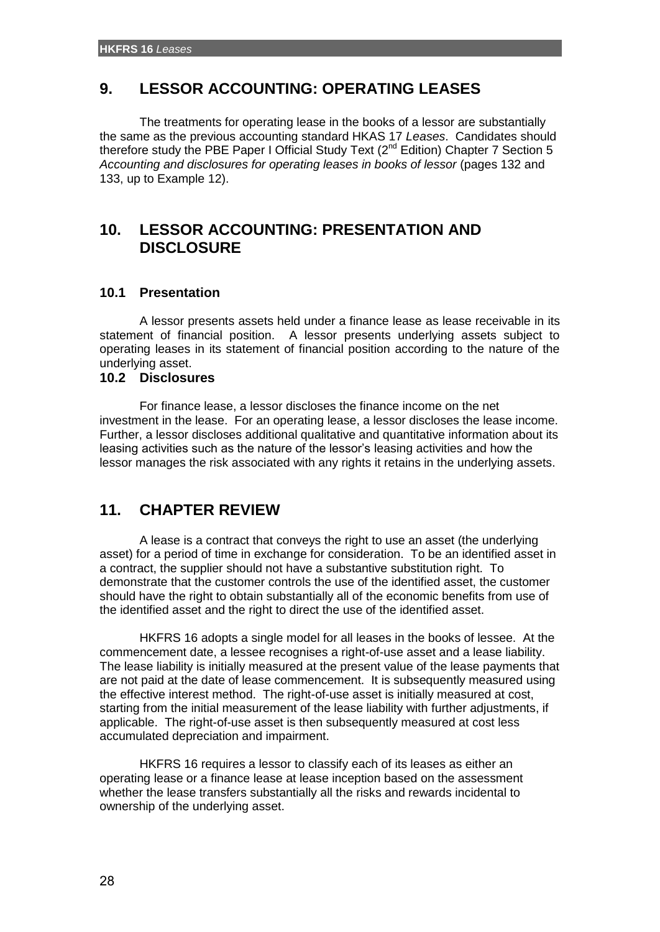# **9. LESSOR ACCOUNTING: OPERATING LEASES**

The treatments for operating lease in the books of a lessor are substantially the same as the previous accounting standard HKAS 17 *Leases*. Candidates should therefore study the PBE Paper I Official Study Text  $(2^{nd}$  Edition) Chapter 7 Section 5 *Accounting and disclosures for operating leases in books of lessor* (pages 132 and 133, up to Example 12).

# **10. LESSOR ACCOUNTING: PRESENTATION AND DISCLOSURE**

# **10.1 Presentation**

A lessor presents assets held under a finance lease as lease receivable in its statement of financial position. A lessor presents underlying assets subject to operating leases in its statement of financial position according to the nature of the underlying asset.

### **10.2 Disclosures**

For finance lease, a lessor discloses the finance income on the net investment in the lease. For an operating lease, a lessor discloses the lease income. Further, a lessor discloses additional qualitative and quantitative information about its leasing activities such as the nature of the lessor's leasing activities and how the lessor manages the risk associated with any rights it retains in the underlying assets.

# **11. CHAPTER REVIEW**

A lease is a contract that conveys the right to use an asset (the underlying asset) for a period of time in exchange for consideration. To be an identified asset in a contract, the supplier should not have a substantive substitution right. To demonstrate that the customer controls the use of the identified asset, the customer should have the right to obtain substantially all of the economic benefits from use of the identified asset and the right to direct the use of the identified asset.

HKFRS 16 adopts a single model for all leases in the books of lessee. At the commencement date, a lessee recognises a right-of-use asset and a lease liability. The lease liability is initially measured at the present value of the lease payments that are not paid at the date of lease commencement. It is subsequently measured using the effective interest method. The right-of-use asset is initially measured at cost, starting from the initial measurement of the lease liability with further adjustments, if applicable. The right-of-use asset is then subsequently measured at cost less accumulated depreciation and impairment.

HKFRS 16 requires a lessor to classify each of its leases as either an operating lease or a finance lease at lease inception based on the assessment whether the lease transfers substantially all the risks and rewards incidental to ownership of the underlying asset.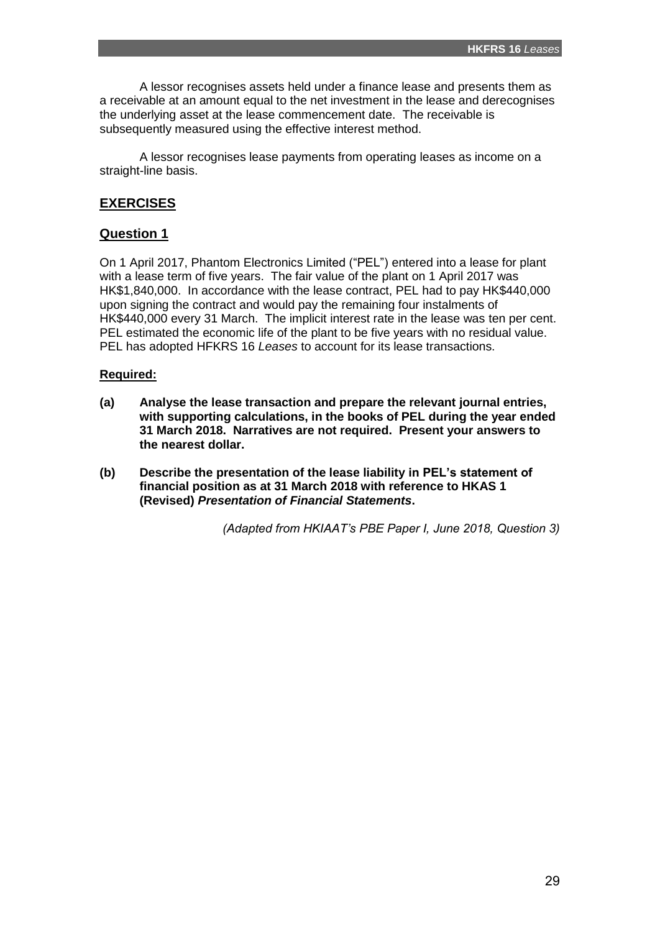A lessor recognises assets held under a finance lease and presents them as a receivable at an amount equal to the net investment in the lease and derecognises the underlying asset at the lease commencement date. The receivable is subsequently measured using the effective interest method.

A lessor recognises lease payments from operating leases as income on a straight-line basis.

# **EXERCISES**

# **Question 1**

On 1 April 2017, Phantom Electronics Limited ("PEL") entered into a lease for plant with a lease term of five years. The fair value of the plant on 1 April 2017 was HK\$1,840,000. In accordance with the lease contract, PEL had to pay HK\$440,000 upon signing the contract and would pay the remaining four instalments of HK\$440,000 every 31 March. The implicit interest rate in the lease was ten per cent. PEL estimated the economic life of the plant to be five years with no residual value. PEL has adopted HFKRS 16 *Leases* to account for its lease transactions.

# **Required:**

- **(a) Analyse the lease transaction and prepare the relevant journal entries, with supporting calculations, in the books of PEL during the year ended 31 March 2018. Narratives are not required. Present your answers to the nearest dollar.**
- **(b) Describe the presentation of the lease liability in PEL's statement of financial position as at 31 March 2018 with reference to HKAS 1 (Revised)** *Presentation of Financial Statements***.**

*(Adapted from HKIAAT's PBE Paper I, June 2018, Question 3)*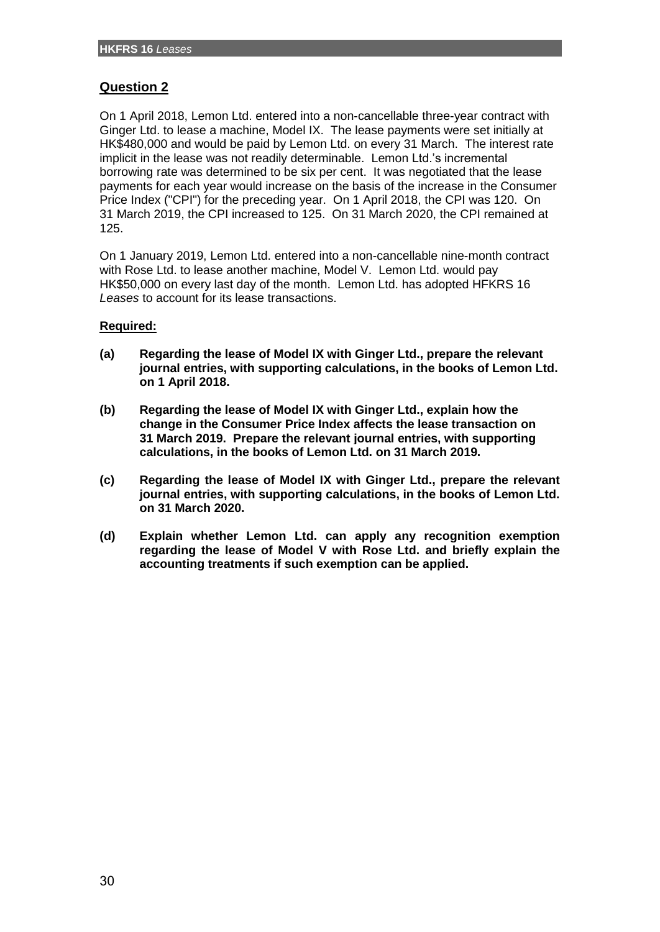# **Question 2**

On 1 April 2018, Lemon Ltd. entered into a non-cancellable three-year contract with Ginger Ltd. to lease a machine, Model IX. The lease payments were set initially at HK\$480,000 and would be paid by Lemon Ltd. on every 31 March. The interest rate implicit in the lease was not readily determinable. Lemon Ltd.'s incremental borrowing rate was determined to be six per cent. It was negotiated that the lease payments for each year would increase on the basis of the increase in the Consumer Price Index ("CPI") for the preceding year. On 1 April 2018, the CPI was 120. On 31 March 2019, the CPI increased to 125. On 31 March 2020, the CPI remained at 125.

On 1 January 2019, Lemon Ltd. entered into a non-cancellable nine-month contract with Rose Ltd. to lease another machine, Model V. Lemon Ltd. would pay HK\$50,000 on every last day of the month. Lemon Ltd. has adopted HFKRS 16 *Leases* to account for its lease transactions.

# **Required:**

- **(a) Regarding the lease of Model IX with Ginger Ltd., prepare the relevant journal entries, with supporting calculations, in the books of Lemon Ltd. on 1 April 2018.**
- **(b) Regarding the lease of Model IX with Ginger Ltd., explain how the change in the Consumer Price Index affects the lease transaction on 31 March 2019. Prepare the relevant journal entries, with supporting calculations, in the books of Lemon Ltd. on 31 March 2019.**
- **(c) Regarding the lease of Model IX with Ginger Ltd., prepare the relevant journal entries, with supporting calculations, in the books of Lemon Ltd. on 31 March 2020.**
- **(d) Explain whether Lemon Ltd. can apply any recognition exemption regarding the lease of Model V with Rose Ltd. and briefly explain the accounting treatments if such exemption can be applied.**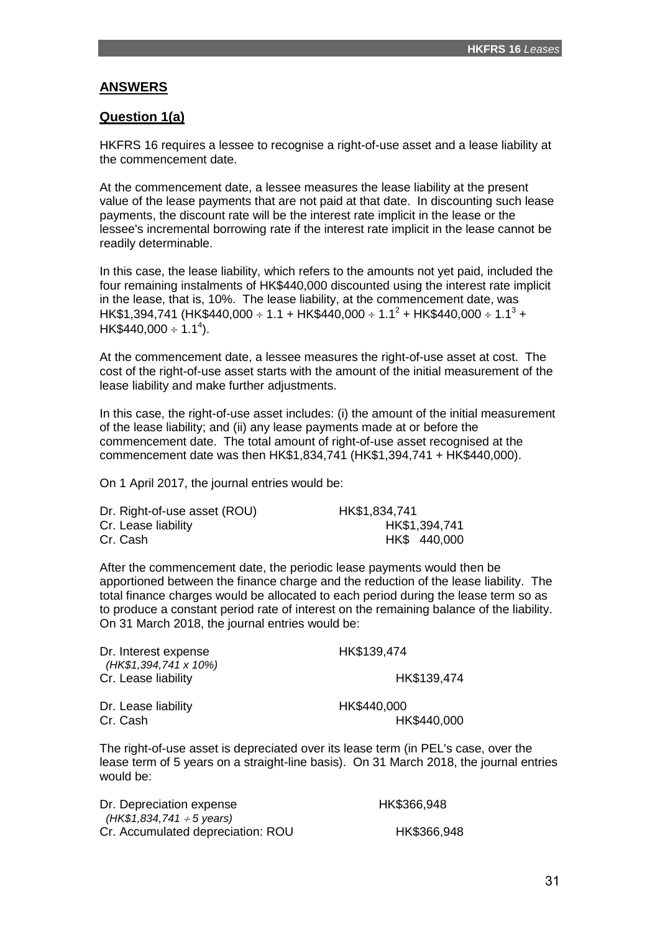# **ANSWERS**

# **Question 1(a)**

HKFRS 16 requires a lessee to recognise a right-of-use asset and a lease liability at the commencement date.

At the commencement date, a lessee measures the lease liability at the present value of the lease payments that are not paid at that date. In discounting such lease payments, the discount rate will be the interest rate implicit in the lease or the lessee's incremental borrowing rate if the interest rate implicit in the lease cannot be readily determinable.

In this case, the lease liability, which refers to the amounts not yet paid, included the four remaining instalments of HK\$440,000 discounted using the interest rate implicit in the lease, that is, 10%. The lease liability, at the commencement date, was  $HK$1,394,741$  (HK\$440,000 ÷ 1.1 + HK\$440,000 ÷ 1.1<sup>2</sup> + HK\$440,000 ÷ 1.1<sup>3</sup> +  $HK$440,000 \div 1.1^4$ ).

At the commencement date, a lessee measures the right-of-use asset at cost. The cost of the right-of-use asset starts with the amount of the initial measurement of the lease liability and make further adjustments.

In this case, the right-of-use asset includes: (i) the amount of the initial measurement of the lease liability; and (ii) any lease payments made at or before the commencement date. The total amount of right-of-use asset recognised at the commencement date was then HK\$1,834,741 (HK\$1,394,741 + HK\$440,000).

On 1 April 2017, the journal entries would be:

| Dr. Right-of-use asset (ROU) | HK\$1,834,741 |
|------------------------------|---------------|
| Cr. Lease liability          | HK\$1,394,741 |
| Cr. Cash                     | HK\$ 440,000  |

After the commencement date, the periodic lease payments would then be apportioned between the finance charge and the reduction of the lease liability. The total finance charges would be allocated to each period during the lease term so as to produce a constant period rate of interest on the remaining balance of the liability. On 31 March 2018, the journal entries would be:

| Dr. Interest expense<br>(HK\$1,394,741 x 10%) | HK\$139,474 |  |
|-----------------------------------------------|-------------|--|
| Cr. Lease liability                           | HK\$139,474 |  |
| Dr. Lease liability                           | HK\$440,000 |  |
| Cr. Cash                                      | HK\$440,000 |  |

The right-of-use asset is depreciated over its lease term (in PEL's case, over the lease term of 5 years on a straight-line basis). On 31 March 2018, the journal entries would be:

| Dr. Depreciation expense          | HK\$366,948 |
|-----------------------------------|-------------|
| (HK\$1,834,741 $\div$ 5 years)    |             |
| Cr. Accumulated depreciation: ROU | HK\$366,948 |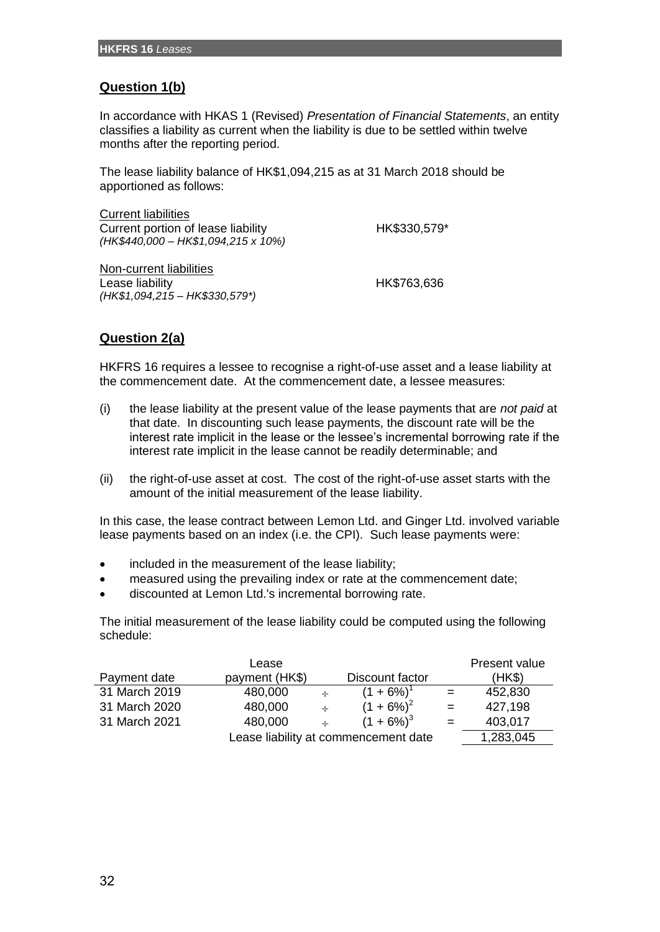# **Question 1(b)**

In accordance with HKAS 1 (Revised) *Presentation of Financial Statements*, an entity classifies a liability as current when the liability is due to be settled within twelve months after the reporting period.

The lease liability balance of HK\$1,094,215 as at 31 March 2018 should be apportioned as follows:

| <b>Current liabilities</b>          |              |
|-------------------------------------|--------------|
| Current portion of lease liability  | HK\$330,579* |
| (HK\$440,000 - HK\$1,094,215 x 10%) |              |
| Non-current liabilities             |              |
| Lease liability                     | HK\$763,636  |

# **Question 2(a)**

*(HK\$1,094,215 – HK\$330,579\*)*

HKFRS 16 requires a lessee to recognise a right-of-use asset and a lease liability at the commencement date. At the commencement date, a lessee measures:

- (i) the lease liability at the present value of the lease payments that are *not paid* at that date. In discounting such lease payments, the discount rate will be the interest rate implicit in the lease or the lessee's incremental borrowing rate if the interest rate implicit in the lease cannot be readily determinable; and
- (ii) the right-of-use asset at cost. The cost of the right-of-use asset starts with the amount of the initial measurement of the lease liability.

In this case, the lease contract between Lemon Ltd. and Ginger Ltd. involved variable lease payments based on an index (i.e. the CPI). Such lease payments were:

- included in the measurement of the lease liability;
- measured using the prevailing index or rate at the commencement date;
- discounted at Lemon Ltd.'s incremental borrowing rate.

The initial measurement of the lease liability could be computed using the following schedule:

|                                      | Lease          |               |                 |     | Present value |
|--------------------------------------|----------------|---------------|-----------------|-----|---------------|
| Payment date                         | payment (HK\$) |               | Discount factor |     | (HKS)         |
| 31 March 2019                        | 480,000        | $\rightarrow$ | $(1 + 6\%)^1$   | $=$ | 452,830       |
| 31 March 2020                        | 480,000        | $\div$        | $(1 + 6\%)^2$   | $=$ | 427,198       |
| 31 March 2021                        | 480,000        | $\div$        | $(1 + 6\%)^3$   | $=$ | 403,017       |
| Lease liability at commencement date |                |               |                 |     | 1,283,045     |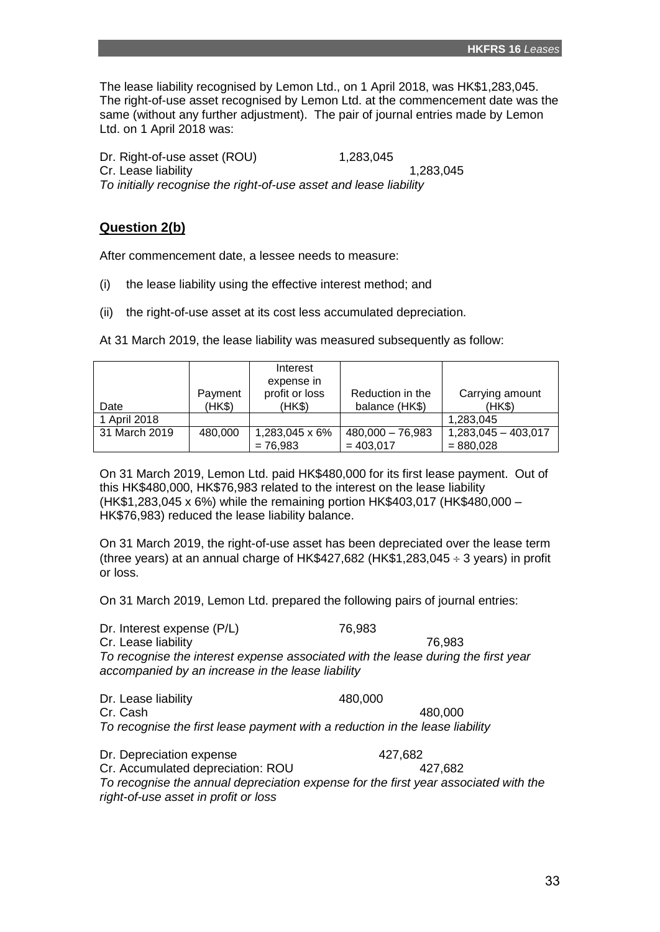The lease liability recognised by Lemon Ltd., on 1 April 2018, was HK\$1,283,045. The right-of-use asset recognised by Lemon Ltd. at the commencement date was the same (without any further adjustment). The pair of journal entries made by Lemon Ltd. on 1 April 2018 was:

Dr. Right-of-use asset (ROU) 1,283,045 Cr. Lease liability 1,283,045 *To initially recognise the right-of-use asset and lease liability* 

# **Question 2(b)**

After commencement date, a lessee needs to measure:

- (i) the lease liability using the effective interest method; and
- (ii) the right-of-use asset at its cost less accumulated depreciation.

At 31 March 2019, the lease liability was measured subsequently as follow:

|               |         | Interest                     |                    |                       |
|---------------|---------|------------------------------|--------------------|-----------------------|
|               | Payment | expense in<br>profit or loss | Reduction in the   | Carrying amount       |
| Date          | (HK\$)  | (HK\$)                       | balance (HK\$)     | (HK\$)                |
| 1 April 2018  |         |                              |                    | 1,283,045             |
| 31 March 2019 | 480,000 | 1,283,045 x 6%               | $480,000 - 76,983$ | $1,283,045 - 403,017$ |
|               |         | $= 76,983$                   | $= 403,017$        | $= 880,028$           |

On 31 March 2019, Lemon Ltd. paid HK\$480,000 for its first lease payment. Out of this HK\$480,000, HK\$76,983 related to the interest on the lease liability (HK\$1,283,045 x 6%) while the remaining portion HK\$403,017 (HK\$480,000 – HK\$76,983) reduced the lease liability balance.

On 31 March 2019, the right-of-use asset has been depreciated over the lease term (three years) at an annual charge of HK\$427,682 (HK\$1,283,045  $\div$  3 years) in profit or loss.

On 31 March 2019, Lemon Ltd. prepared the following pairs of journal entries:

Dr. Interest expense (P/L) 76,983 Cr. Lease liability 76,983 *To recognise the interest expense associated with the lease during the first year accompanied by an increase in the lease liability*

Dr. Lease liability 480,000 Cr. Cash 480,000 *To recognise the first lease payment with a reduction in the lease liability*

Dr. Depreciation expense 427,682 Cr. Accumulated depreciation: ROU 427,682 *To recognise the annual depreciation expense for the first year associated with the right-of-use asset in profit or loss*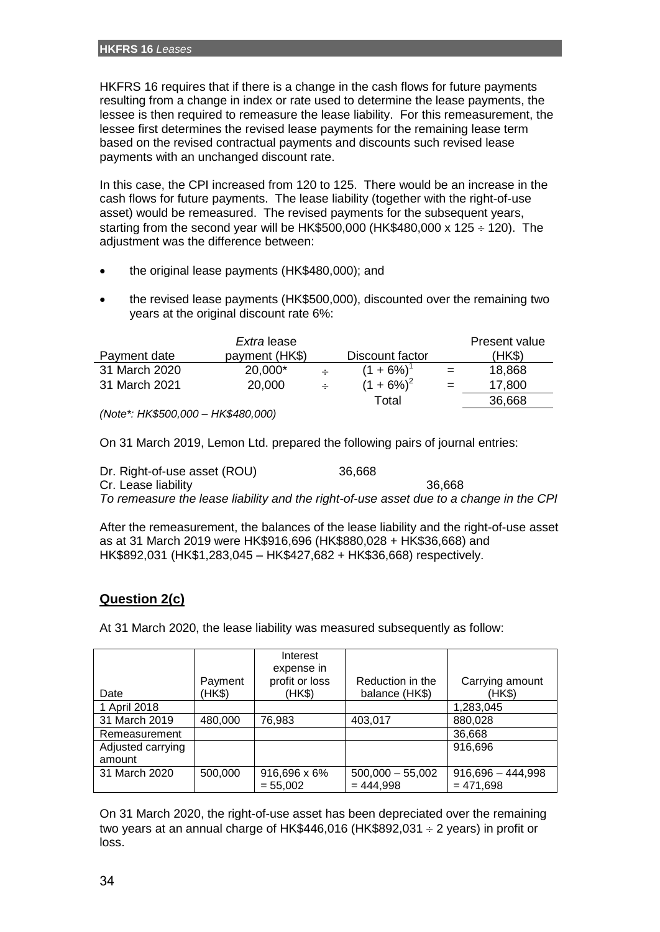HKFRS 16 requires that if there is a change in the cash flows for future payments resulting from a change in index or rate used to determine the lease payments, the lessee is then required to remeasure the lease liability. For this remeasurement, the lessee first determines the revised lease payments for the remaining lease term based on the revised contractual payments and discounts such revised lease payments with an unchanged discount rate.

In this case, the CPI increased from 120 to 125. There would be an increase in the cash flows for future payments. The lease liability (together with the right-of-use asset) would be remeasured. The revised payments for the subsequent years, starting from the second year will be HK\$500,000 (HK\$480,000 x 125  $\div$  120). The adiustment was the difference between:

- the original lease payments (HK\$480,000); and
- the revised lease payments (HK\$500,000), discounted over the remaining two years at the original discount rate 6%:

|                                    | Extra lease    |  |                          |     | Present value |
|------------------------------------|----------------|--|--------------------------|-----|---------------|
| Payment date                       | payment (HK\$) |  | Discount factor          |     | (HK\$)        |
| 31 March 2020                      | 20,000*        |  | $(1 + 6\%)$ <sup>1</sup> | $=$ | 18,868        |
| 31 March 2021                      | 20,000         |  | $(1 + 6\%)^2$            |     | 17,800        |
|                                    |                |  | Total                    |     | 36,668        |
| (Note*: HK\$500,000 - HK\$480,000) |                |  |                          |     |               |

On 31 March 2019, Lemon Ltd. prepared the following pairs of journal entries:

Dr. Right-of-use asset (ROU) 36,668 Cr. Lease liability 36,668 *To remeasure the lease liability and the right-of-use asset due to a change in the CPI*

After the remeasurement, the balances of the lease liability and the right-of-use asset as at 31 March 2019 were HK\$916,696 (HK\$880,028 + HK\$36,668) and HK\$892,031 (HK\$1,283,045 – HK\$427,682 + HK\$36,668) respectively.

# **Question 2(c)**

At 31 March 2020, the lease liability was measured subsequently as follow:

|                   |         | Interest<br>expense in |                    |                     |
|-------------------|---------|------------------------|--------------------|---------------------|
|                   | Payment | profit or loss         | Reduction in the   | Carrying amount     |
| Date              | (HK\$)  | (HK\$)                 | balance (HK\$)     | (HK\$)              |
| 1 April 2018      |         |                        |                    | 1,283,045           |
| 31 March 2019     | 480,000 | 76,983                 | 403,017            | 880,028             |
| Remeasurement     |         |                        |                    | 36,668              |
| Adjusted carrying |         |                        |                    | 916,696             |
| amount            |         |                        |                    |                     |
| 31 March 2020     | 500,000 | 916,696 x 6%           | $500,000 - 55,002$ | $916,696 - 444,998$ |
|                   |         | $= 55,002$             | $= 444.998$        | $= 471,698$         |

On 31 March 2020, the right-of-use asset has been depreciated over the remaining two years at an annual charge of HK\$446,016 (HK\$892,031  $\div$  2 years) in profit or loss.